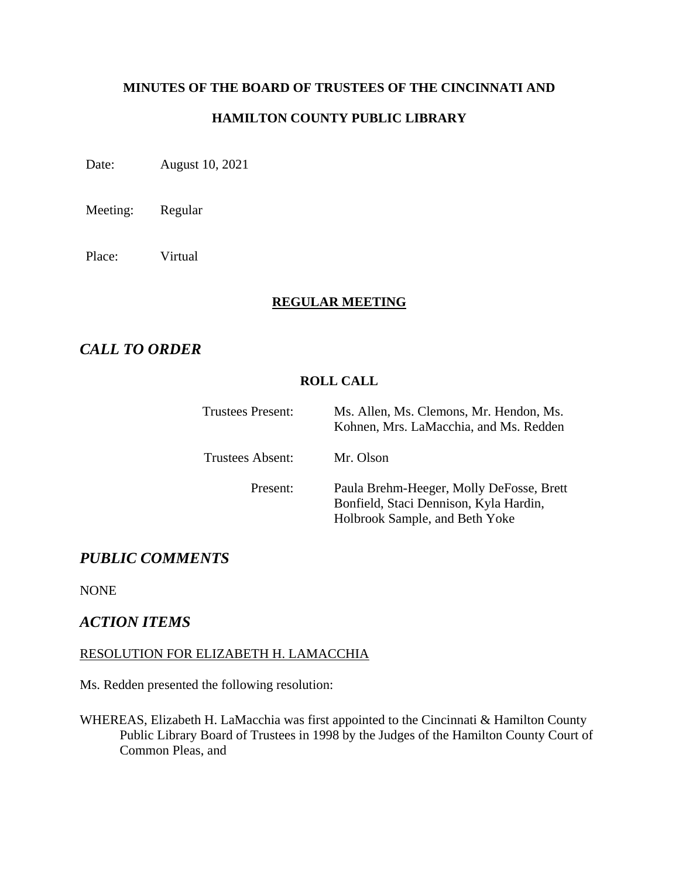# **MINUTES OF THE BOARD OF TRUSTEES OF THE CINCINNATI AND**

## **HAMILTON COUNTY PUBLIC LIBRARY**

Date: August 10, 2021

Meeting: Regular

Place: Virtual

#### **REGULAR MEETING**

# *CALL TO ORDER*

## **ROLL CALL**

| Trustees Present:       | Ms. Allen, Ms. Clemons, Mr. Hendon, Ms.<br>Kohnen, Mrs. LaMacchia, and Ms. Redden                                    |
|-------------------------|----------------------------------------------------------------------------------------------------------------------|
| <b>Trustees Absent:</b> | Mr. Olson                                                                                                            |
| Present:                | Paula Brehm-Heeger, Molly DeFosse, Brett<br>Bonfield, Staci Dennison, Kyla Hardin,<br>Holbrook Sample, and Beth Yoke |

# *PUBLIC COMMENTS*

NONE

## *ACTION ITEMS*

#### RESOLUTION FOR ELIZABETH H. LAMACCHIA

Ms. Redden presented the following resolution:

WHEREAS, Elizabeth H. LaMacchia was first appointed to the Cincinnati & Hamilton County Public Library Board of Trustees in 1998 by the Judges of the Hamilton County Court of Common Pleas, and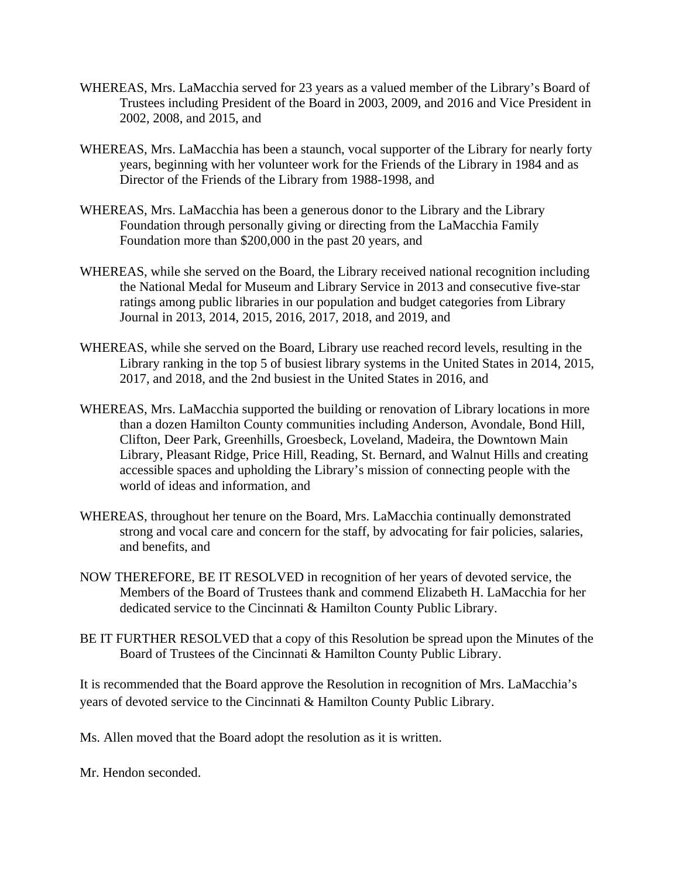- WHEREAS, Mrs. LaMacchia served for 23 years as a valued member of the Library's Board of Trustees including President of the Board in 2003, 2009, and 2016 and Vice President in 2002, 2008, and 2015, and
- WHEREAS, Mrs. LaMacchia has been a staunch, vocal supporter of the Library for nearly forty years, beginning with her volunteer work for the Friends of the Library in 1984 and as Director of the Friends of the Library from 1988-1998, and
- WHEREAS, Mrs. LaMacchia has been a generous donor to the Library and the Library Foundation through personally giving or directing from the LaMacchia Family Foundation more than \$200,000 in the past 20 years, and
- WHEREAS, while she served on the Board, the Library received national recognition including the National Medal for Museum and Library Service in 2013 and consecutive five-star ratings among public libraries in our population and budget categories from Library Journal in 2013, 2014, 2015, 2016, 2017, 2018, and 2019, and
- WHEREAS, while she served on the Board, Library use reached record levels, resulting in the Library ranking in the top 5 of busiest library systems in the United States in 2014, 2015, 2017, and 2018, and the 2nd busiest in the United States in 2016, and
- WHEREAS, Mrs. LaMacchia supported the building or renovation of Library locations in more than a dozen Hamilton County communities including Anderson, Avondale, Bond Hill, Clifton, Deer Park, Greenhills, Groesbeck, Loveland, Madeira, the Downtown Main Library, Pleasant Ridge, Price Hill, Reading, St. Bernard, and Walnut Hills and creating accessible spaces and upholding the Library's mission of connecting people with the world of ideas and information, and
- WHEREAS, throughout her tenure on the Board, Mrs. LaMacchia continually demonstrated strong and vocal care and concern for the staff, by advocating for fair policies, salaries, and benefits, and
- NOW THEREFORE, BE IT RESOLVED in recognition of her years of devoted service, the Members of the Board of Trustees thank and commend Elizabeth H. LaMacchia for her dedicated service to the Cincinnati & Hamilton County Public Library.
- BE IT FURTHER RESOLVED that a copy of this Resolution be spread upon the Minutes of the Board of Trustees of the Cincinnati & Hamilton County Public Library.

It is recommended that the Board approve the Resolution in recognition of Mrs. LaMacchia's years of devoted service to the Cincinnati & Hamilton County Public Library.

Ms. Allen moved that the Board adopt the resolution as it is written.

Mr. Hendon seconded.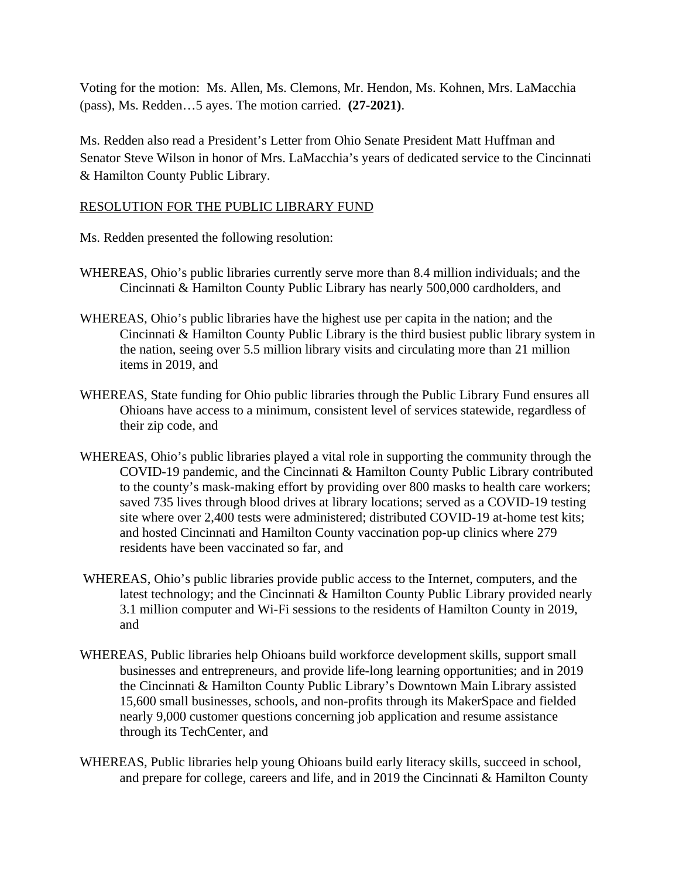Voting for the motion: Ms. Allen, Ms. Clemons, Mr. Hendon, Ms. Kohnen, Mrs. LaMacchia (pass), Ms. Redden…5 ayes. The motion carried. **(27-2021)**.

Ms. Redden also read a President's Letter from Ohio Senate President Matt Huffman and Senator Steve Wilson in honor of Mrs. LaMacchia's years of dedicated service to the Cincinnati & Hamilton County Public Library.

#### RESOLUTION FOR THE PUBLIC LIBRARY FUND

Ms. Redden presented the following resolution:

- WHEREAS, Ohio's public libraries currently serve more than 8.4 million individuals; and the Cincinnati & Hamilton County Public Library has nearly 500,000 cardholders, and
- WHEREAS, Ohio's public libraries have the highest use per capita in the nation; and the Cincinnati & Hamilton County Public Library is the third busiest public library system in the nation, seeing over 5.5 million library visits and circulating more than 21 million items in 2019, and
- WHEREAS, State funding for Ohio public libraries through the Public Library Fund ensures all Ohioans have access to a minimum, consistent level of services statewide, regardless of their zip code, and
- WHEREAS, Ohio's public libraries played a vital role in supporting the community through the COVID-19 pandemic, and the Cincinnati & Hamilton County Public Library contributed to the county's mask-making effort by providing over 800 masks to health care workers; saved 735 lives through blood drives at library locations; served as a COVID-19 testing site where over 2,400 tests were administered; distributed COVID-19 at-home test kits; and hosted Cincinnati and Hamilton County vaccination pop-up clinics where 279 residents have been vaccinated so far, and
- WHEREAS, Ohio's public libraries provide public access to the Internet, computers, and the latest technology; and the Cincinnati & Hamilton County Public Library provided nearly 3.1 million computer and Wi-Fi sessions to the residents of Hamilton County in 2019, and
- WHEREAS, Public libraries help Ohioans build workforce development skills, support small businesses and entrepreneurs, and provide life-long learning opportunities; and in 2019 the Cincinnati & Hamilton County Public Library's Downtown Main Library assisted 15,600 small businesses, schools, and non-profits through its MakerSpace and fielded nearly 9,000 customer questions concerning job application and resume assistance through its TechCenter, and
- WHEREAS, Public libraries help young Ohioans build early literacy skills, succeed in school, and prepare for college, careers and life, and in 2019 the Cincinnati & Hamilton County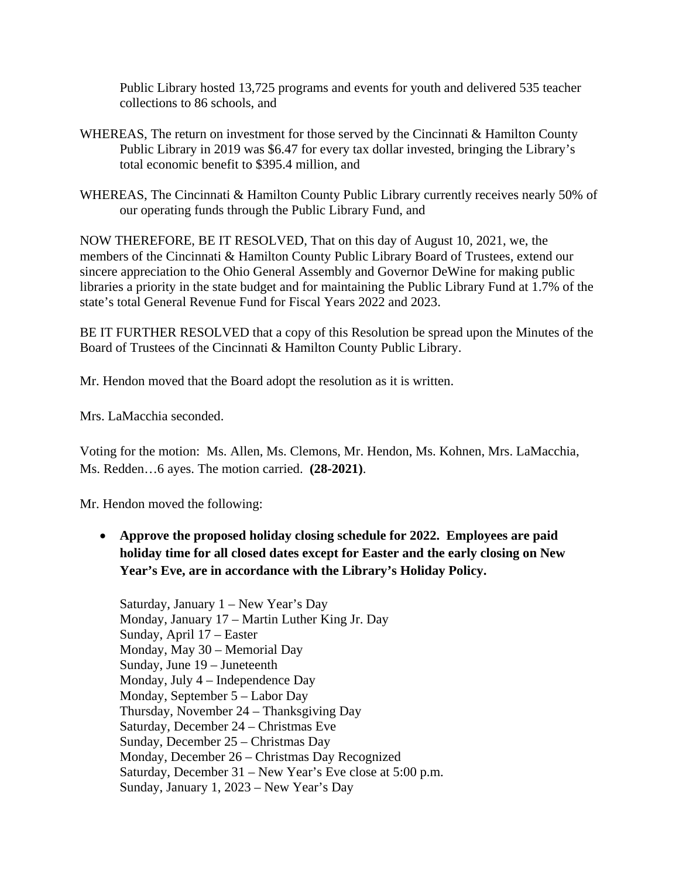Public Library hosted 13,725 programs and events for youth and delivered 535 teacher collections to 86 schools, and

- WHEREAS, The return on investment for those served by the Cincinnati & Hamilton County Public Library in 2019 was \$6.47 for every tax dollar invested, bringing the Library's total economic benefit to \$395.4 million, and
- WHEREAS, The Cincinnati & Hamilton County Public Library currently receives nearly 50% of our operating funds through the Public Library Fund, and

NOW THEREFORE, BE IT RESOLVED, That on this day of August 10, 2021, we, the members of the Cincinnati & Hamilton County Public Library Board of Trustees, extend our sincere appreciation to the Ohio General Assembly and Governor DeWine for making public libraries a priority in the state budget and for maintaining the Public Library Fund at 1.7% of the state's total General Revenue Fund for Fiscal Years 2022 and 2023.

BE IT FURTHER RESOLVED that a copy of this Resolution be spread upon the Minutes of the Board of Trustees of the Cincinnati & Hamilton County Public Library.

Mr. Hendon moved that the Board adopt the resolution as it is written.

Mrs. LaMacchia seconded.

Voting for the motion: Ms. Allen, Ms. Clemons, Mr. Hendon, Ms. Kohnen, Mrs. LaMacchia, Ms. Redden…6 ayes. The motion carried. **(28-2021)**.

Mr. Hendon moved the following:

• **Approve the proposed holiday closing schedule for 2022. Employees are paid holiday time for all closed dates except for Easter and the early closing on New Year's Eve, are in accordance with the Library's Holiday Policy.** 

Saturday, January 1 – New Year's Day Monday, January 17 – Martin Luther King Jr. Day Sunday, April 17 – Easter Monday, May 30 – Memorial Day Sunday, June 19 – Juneteenth Monday, July 4 – Independence Day Monday, September 5 – Labor Day Thursday, November 24 – Thanksgiving Day Saturday, December 24 – Christmas Eve Sunday, December 25 – Christmas Day Monday, December 26 – Christmas Day Recognized Saturday, December 31 – New Year's Eve close at 5:00 p.m. Sunday, January 1, 2023 – New Year's Day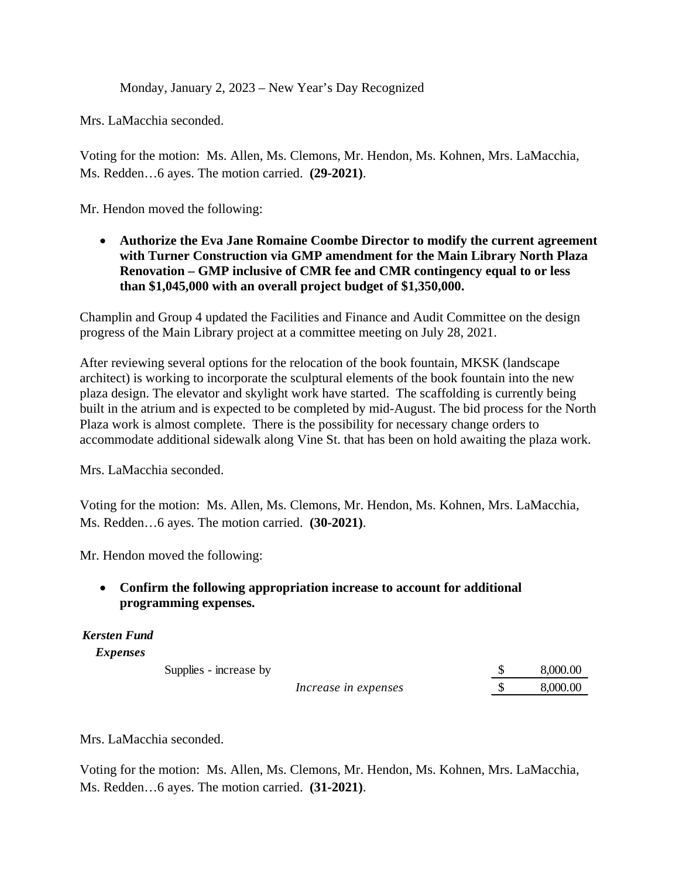Monday, January 2, 2023 – New Year's Day Recognized

Mrs. LaMacchia seconded.

Voting for the motion: Ms. Allen, Ms. Clemons, Mr. Hendon, Ms. Kohnen, Mrs. LaMacchia, Ms. Redden…6 ayes. The motion carried. **(29-2021)**.

Mr. Hendon moved the following:

• **Authorize the Eva Jane Romaine Coombe Director to modify the current agreement with Turner Construction via GMP amendment for the Main Library North Plaza Renovation – GMP inclusive of CMR fee and CMR contingency equal to or less than \$1,045,000 with an overall project budget of \$1,350,000.**

Champlin and Group 4 updated the Facilities and Finance and Audit Committee on the design progress of the Main Library project at a committee meeting on July 28, 2021.

After reviewing several options for the relocation of the book fountain, MKSK (landscape architect) is working to incorporate the sculptural elements of the book fountain into the new plaza design. The elevator and skylight work have started. The scaffolding is currently being built in the atrium and is expected to be completed by mid-August. The bid process for the North Plaza work is almost complete. There is the possibility for necessary change orders to accommodate additional sidewalk along Vine St. that has been on hold awaiting the plaza work.

Mrs. LaMacchia seconded.

Voting for the motion: Ms. Allen, Ms. Clemons, Mr. Hendon, Ms. Kohnen, Mrs. LaMacchia, Ms. Redden…6 ayes. The motion carried. **(30-2021)**.

Mr. Hendon moved the following:

• **Confirm the following appropriation increase to account for additional programming expenses.**

#### *Kersten Fund*

*Expenses*

Supplies - increase by  $\qquad \qquad$  8,000.00

*Increase in expenses*  $\qquad$  \$ 8,000.00

Mrs. LaMacchia seconded.

Voting for the motion: Ms. Allen, Ms. Clemons, Mr. Hendon, Ms. Kohnen, Mrs. LaMacchia, Ms. Redden…6 ayes. The motion carried. **(31-2021)**.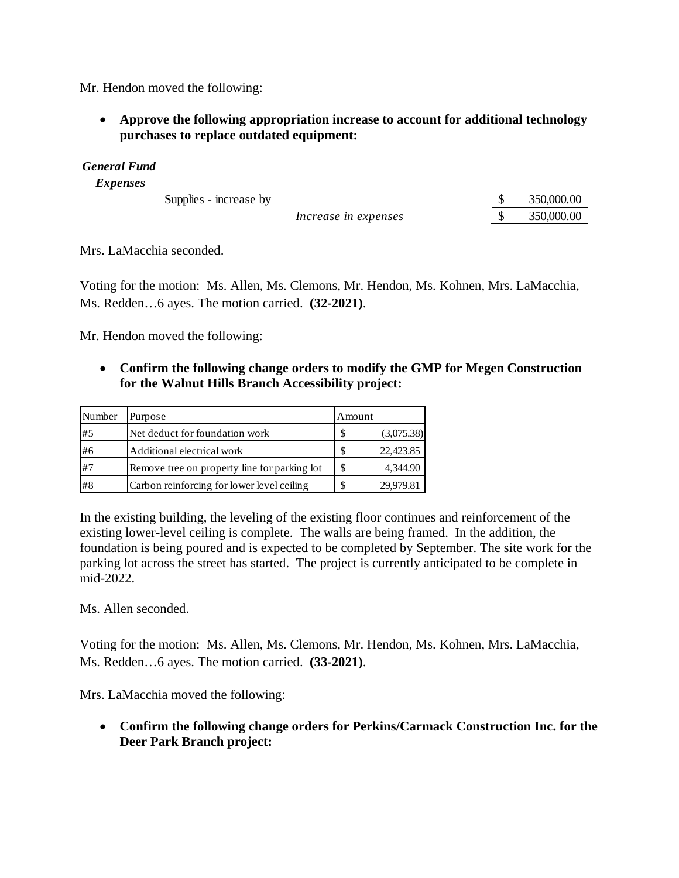Mr. Hendon moved the following:

• **Approve the following appropriation increase to account for additional technology purchases to replace outdated equipment:** 

*General Fund*

*Expenses*

Supplies - increase by  $\qquad \qquad$  \$ 350,000.00

| Increase in expenses | 350,000.00 |
|----------------------|------------|

Mrs. LaMacchia seconded.

Voting for the motion: Ms. Allen, Ms. Clemons, Mr. Hendon, Ms. Kohnen, Mrs. LaMacchia, Ms. Redden…6 ayes. The motion carried. **(32-2021)**.

Mr. Hendon moved the following:

• **Confirm the following change orders to modify the GMP for Megen Construction for the Walnut Hills Branch Accessibility project:**

| Number | Purpose                                      | Amount |            |
|--------|----------------------------------------------|--------|------------|
| #5     | Net deduct for foundation work               | \$     | (3,075.38) |
| #6     | Additional electrical work                   | S      | 22,423.85  |
| #7     | Remove tree on property line for parking lot | -\$    | 4,344.90   |
| #8     | Carbon reinforcing for lower level ceiling   | -S     | 29,979.81  |

In the existing building, the leveling of the existing floor continues and reinforcement of the existing lower-level ceiling is complete. The walls are being framed. In the addition, the foundation is being poured and is expected to be completed by September. The site work for the parking lot across the street has started. The project is currently anticipated to be complete in mid-2022.

Ms. Allen seconded.

Voting for the motion: Ms. Allen, Ms. Clemons, Mr. Hendon, Ms. Kohnen, Mrs. LaMacchia, Ms. Redden…6 ayes. The motion carried. **(33-2021)**.

Mrs. LaMacchia moved the following:

• **Confirm the following change orders for Perkins/Carmack Construction Inc. for the Deer Park Branch project:**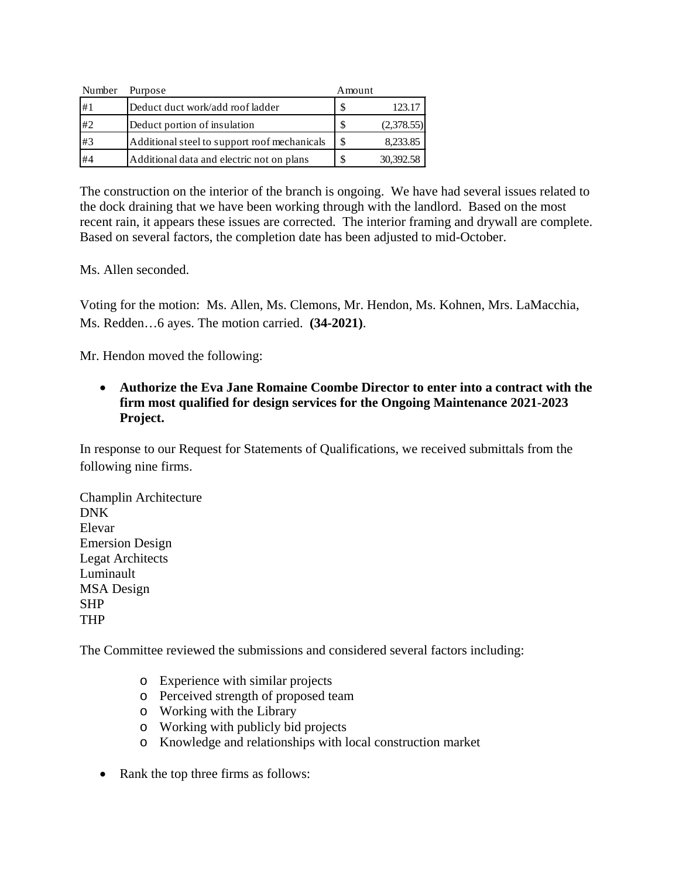| Number | Purpose                                      | Amount |            |
|--------|----------------------------------------------|--------|------------|
| #1     | Deduct duct work/add roof ladder             |        | 123.17     |
| #2     | Deduct portion of insulation                 | \$.    | (2,378.55) |
| #3     | Additional steel to support roof mechanicals |        | 8,233.85   |
| #4     | Additional data and electric not on plans    |        | 30,392.58  |

The construction on the interior of the branch is ongoing. We have had several issues related to the dock draining that we have been working through with the landlord. Based on the most recent rain, it appears these issues are corrected. The interior framing and drywall are complete. Based on several factors, the completion date has been adjusted to mid-October.

Ms. Allen seconded.

Voting for the motion: Ms. Allen, Ms. Clemons, Mr. Hendon, Ms. Kohnen, Mrs. LaMacchia, Ms. Redden…6 ayes. The motion carried. **(34-2021)**.

Mr. Hendon moved the following:

• **Authorize the Eva Jane Romaine Coombe Director to enter into a contract with the firm most qualified for design services for the Ongoing Maintenance 2021-2023 Project.**

In response to our Request for Statements of Qualifications, we received submittals from the following nine firms.

Champlin Architecture DNK Elevar Emersion Design Legat Architects Luminault MSA Design SHP THP

The Committee reviewed the submissions and considered several factors including:

- o Experience with similar projects
- o Perceived strength of proposed team
- o Working with the Library
- o Working with publicly bid projects
- o Knowledge and relationships with local construction market
- Rank the top three firms as follows: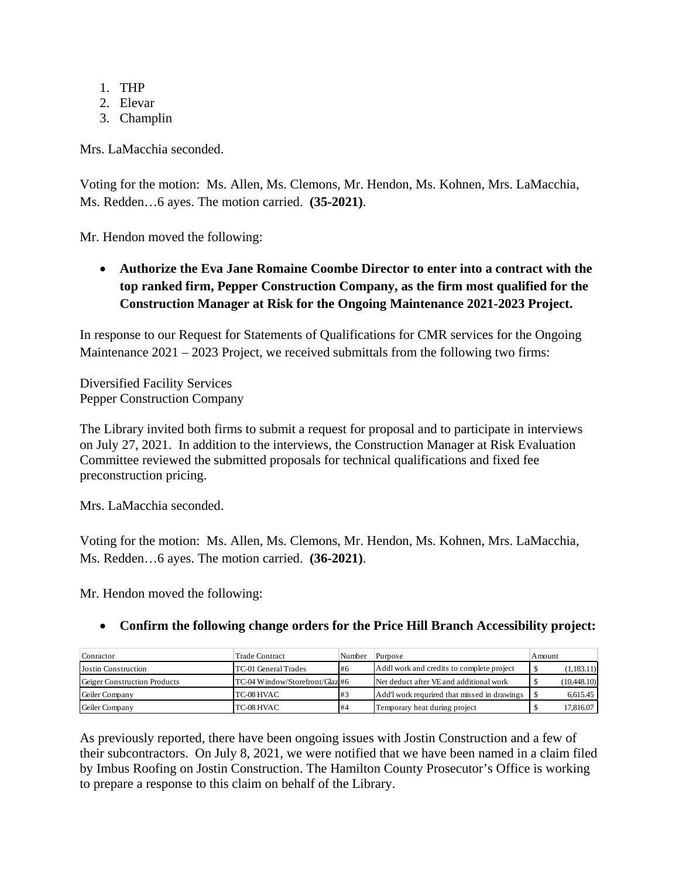- 1. THP
- 2. Elevar
- 3. Champlin

Mrs. LaMacchia seconded.

Voting for the motion: Ms. Allen, Ms. Clemons, Mr. Hendon, Ms. Kohnen, Mrs. LaMacchia, Ms. Redden…6 ayes. The motion carried. **(35-2021)**.

Mr. Hendon moved the following:

• **Authorize the Eva Jane Romaine Coombe Director to enter into a contract with the top ranked firm, Pepper Construction Company, as the firm most qualified for the Construction Manager at Risk for the Ongoing Maintenance 2021-2023 Project.** 

In response to our Request for Statements of Qualifications for CMR services for the Ongoing Maintenance  $2021 - 2023$  Project, we received submittals from the following two firms:

Diversified Facility Services Pepper Construction Company

The Library invited both firms to submit a request for proposal and to participate in interviews on July 27, 2021. In addition to the interviews, the Construction Manager at Risk Evaluation Committee reviewed the submitted proposals for technical qualifications and fixed fee preconstruction pricing.

Mrs. LaMacchia seconded.

Voting for the motion: Ms. Allen, Ms. Clemons, Mr. Hendon, Ms. Kohnen, Mrs. LaMacchia, Ms. Redden…6 ayes. The motion carried. **(36-2021)**.

Mr. Hendon moved the following:

#### • **Confirm the following change orders for the Price Hill Branch Accessibility project:**

| Conractor                    | Trade Contract                 | Number    | Purpose                                      | Amount       |
|------------------------------|--------------------------------|-----------|----------------------------------------------|--------------|
| Jostin Construction          | TC-01 General Trades           | <b>H6</b> | Addl work and credits to complete project    | (1,183.11)   |
| Geiger Construction Products | TC-04 Window/Storefront/Glaz#6 |           | Net deduct after VE and additional work      | (10, 448.10) |
| Geiler Company               | TC-08 HVAC                     | #3        | Add't work requrired that missed in drawings | 6,615.45     |
| Geiler Company               | TC-08 HVAC                     | #4        | Temporary heat during project                | 17,816.07    |

As previously reported, there have been ongoing issues with Jostin Construction and a few of their subcontractors. On July 8, 2021, we were notified that we have been named in a claim filed by Imbus Roofing on Jostin Construction. The Hamilton County Prosecutor's Office is working to prepare a response to this claim on behalf of the Library.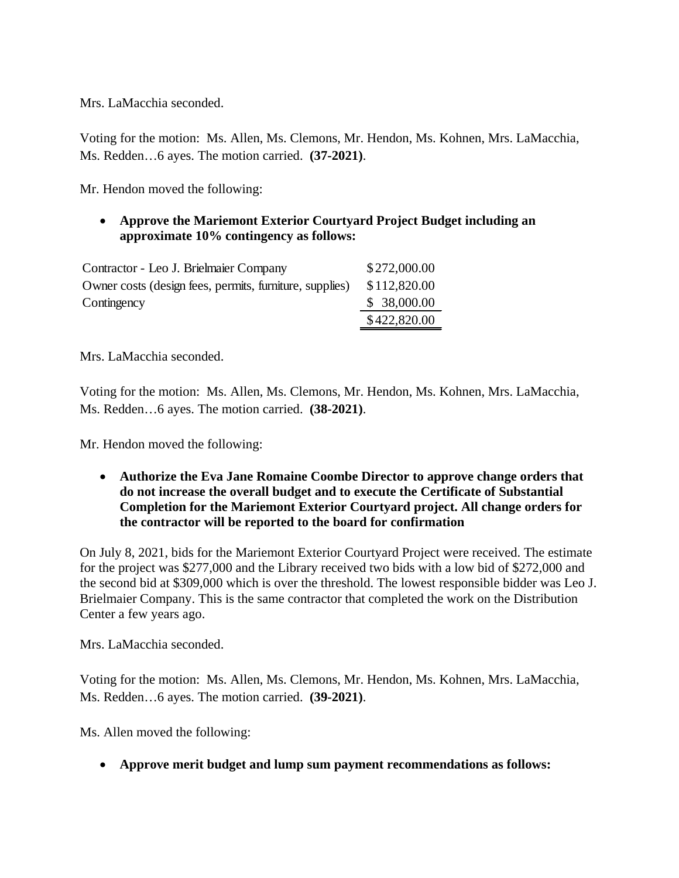Mrs. LaMacchia seconded.

Voting for the motion: Ms. Allen, Ms. Clemons, Mr. Hendon, Ms. Kohnen, Mrs. LaMacchia, Ms. Redden…6 ayes. The motion carried. **(37-2021)**.

Mr. Hendon moved the following:

• **Approve the Mariemont Exterior Courtyard Project Budget including an approximate 10% contingency as follows:** 

| Contractor - Leo J. Brielmaier Company                  | \$272,000.00 |
|---------------------------------------------------------|--------------|
| Owner costs (design fees, permits, furniture, supplies) | \$112,820.00 |
| Contingency                                             | \$38,000.00  |
|                                                         | \$422,820.00 |

Mrs. LaMacchia seconded.

Voting for the motion: Ms. Allen, Ms. Clemons, Mr. Hendon, Ms. Kohnen, Mrs. LaMacchia, Ms. Redden…6 ayes. The motion carried. **(38-2021)**.

Mr. Hendon moved the following:

• **Authorize the Eva Jane Romaine Coombe Director to approve change orders that do not increase the overall budget and to execute the Certificate of Substantial Completion for the Mariemont Exterior Courtyard project. All change orders for the contractor will be reported to the board for confirmation**

On July 8, 2021, bids for the Mariemont Exterior Courtyard Project were received. The estimate for the project was \$277,000 and the Library received two bids with a low bid of \$272,000 and the second bid at \$309,000 which is over the threshold. The lowest responsible bidder was Leo J. Brielmaier Company. This is the same contractor that completed the work on the Distribution Center a few years ago.

Mrs. LaMacchia seconded.

Voting for the motion: Ms. Allen, Ms. Clemons, Mr. Hendon, Ms. Kohnen, Mrs. LaMacchia, Ms. Redden…6 ayes. The motion carried. **(39-2021)**.

Ms. Allen moved the following:

• **Approve merit budget and lump sum payment recommendations as follows:**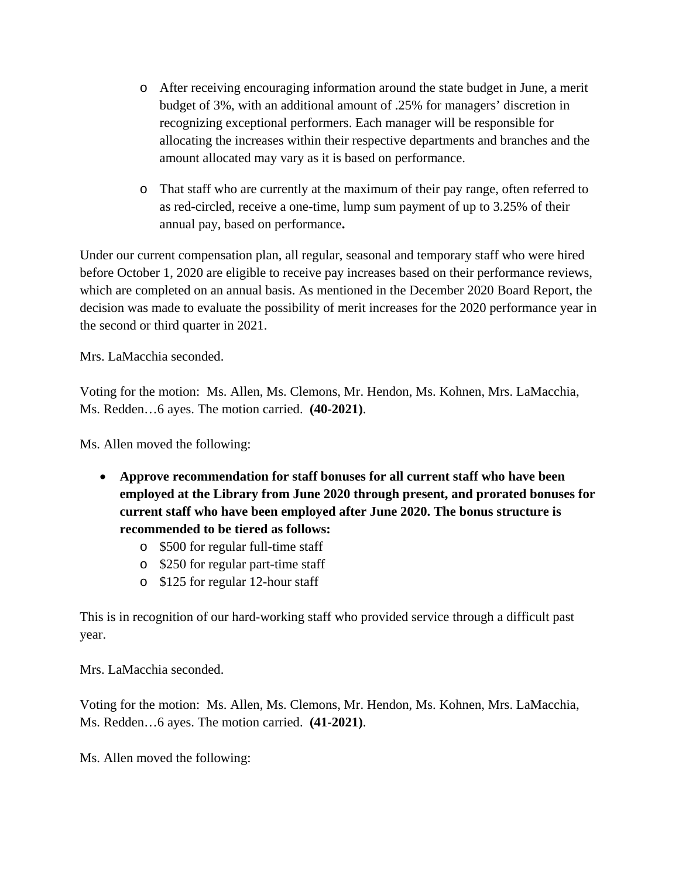- o After receiving encouraging information around the state budget in June, a merit budget of 3%, with an additional amount of .25% for managers' discretion in recognizing exceptional performers. Each manager will be responsible for allocating the increases within their respective departments and branches and the amount allocated may vary as it is based on performance.
- o That staff who are currently at the maximum of their pay range, often referred to as red-circled, receive a one-time, lump sum payment of up to 3.25% of their annual pay, based on performance**.**

Under our current compensation plan, all regular, seasonal and temporary staff who were hired before October 1, 2020 are eligible to receive pay increases based on their performance reviews, which are completed on an annual basis. As mentioned in the December 2020 Board Report, the decision was made to evaluate the possibility of merit increases for the 2020 performance year in the second or third quarter in 2021.

Mrs. LaMacchia seconded.

Voting for the motion: Ms. Allen, Ms. Clemons, Mr. Hendon, Ms. Kohnen, Mrs. LaMacchia, Ms. Redden…6 ayes. The motion carried. **(40-2021)**.

Ms. Allen moved the following:

- **Approve recommendation for staff bonuses for all current staff who have been employed at the Library from June 2020 through present, and prorated bonuses for current staff who have been employed after June 2020. The bonus structure is recommended to be tiered as follows:**
	- o \$500 for regular full-time staff
	- o \$250 for regular part-time staff
	- o \$125 for regular 12-hour staff

This is in recognition of our hard-working staff who provided service through a difficult past year.

Mrs. LaMacchia seconded.

Voting for the motion: Ms. Allen, Ms. Clemons, Mr. Hendon, Ms. Kohnen, Mrs. LaMacchia, Ms. Redden…6 ayes. The motion carried. **(41-2021)**.

Ms. Allen moved the following: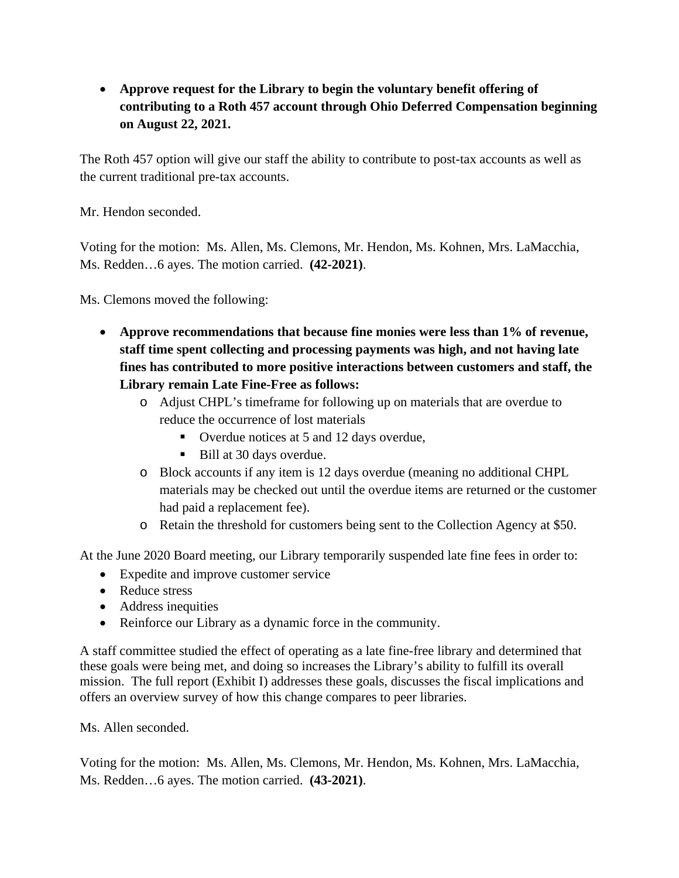• **Approve request for the Library to begin the voluntary benefit offering of contributing to a Roth 457 account through Ohio Deferred Compensation beginning on August 22, 2021.** 

The Roth 457 option will give our staff the ability to contribute to post-tax accounts as well as the current traditional pre-tax accounts.

Mr. Hendon seconded.

Voting for the motion: Ms. Allen, Ms. Clemons, Mr. Hendon, Ms. Kohnen, Mrs. LaMacchia, Ms. Redden…6 ayes. The motion carried. **(42-2021)**.

Ms. Clemons moved the following:

- **Approve recommendations that because fine monies were less than 1% of revenue, staff time spent collecting and processing payments was high, and not having late fines has contributed to more positive interactions between customers and staff, the Library remain Late Fine-Free as follows:**
	- o Adjust CHPL's timeframe for following up on materials that are overdue to reduce the occurrence of lost materials
		- Overdue notices at 5 and 12 days overdue,
		- Bill at 30 days overdue.
	- o Block accounts if any item is 12 days overdue (meaning no additional CHPL materials may be checked out until the overdue items are returned or the customer had paid a replacement fee).
	- o Retain the threshold for customers being sent to the Collection Agency at \$50.

At the June 2020 Board meeting, our Library temporarily suspended late fine fees in order to:

- Expedite and improve customer service
- Reduce stress
- Address inequities
- Reinforce our Library as a dynamic force in the community.

A staff committee studied the effect of operating as a late fine-free library and determined that these goals were being met, and doing so increases the Library's ability to fulfill its overall mission. The full report (Exhibit I) addresses these goals, discusses the fiscal implications and offers an overview survey of how this change compares to peer libraries.

Ms. Allen seconded.

Voting for the motion: Ms. Allen, Ms. Clemons, Mr. Hendon, Ms. Kohnen, Mrs. LaMacchia, Ms. Redden…6 ayes. The motion carried. **(43-2021)**.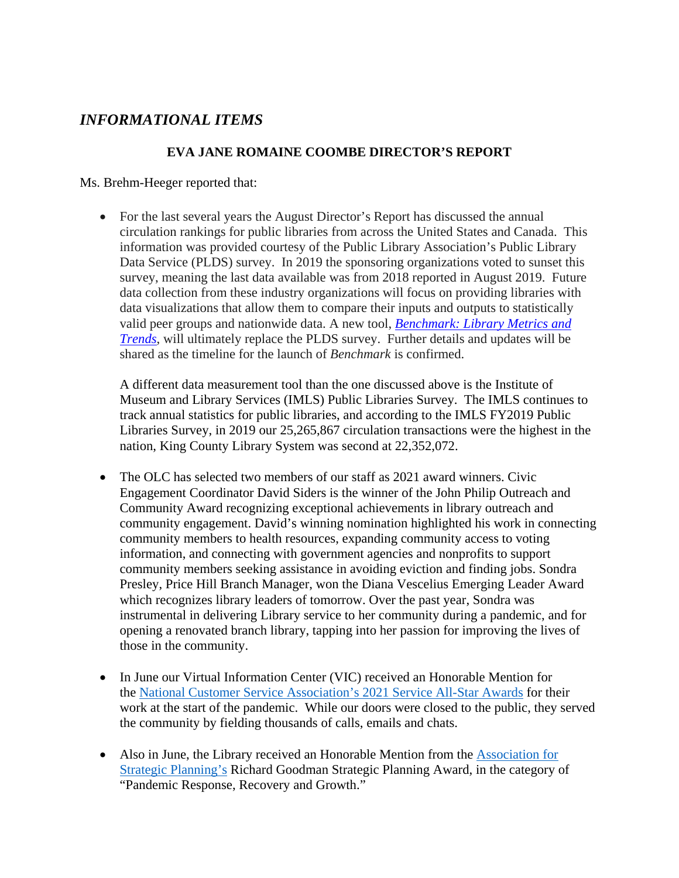# *INFORMATIONAL ITEMS*

#### **EVA JANE ROMAINE COOMBE DIRECTOR'S REPORT**

Ms. Brehm-Heeger reported that:

• For the last several years the August Director's Report has discussed the annual circulation rankings for public libraries from across the United States and Canada. This information was provided courtesy of the Public Library Association's Public Library Data Service (PLDS) survey. In 2019 the sponsoring organizations voted to sunset this survey, meaning the last data available was from 2018 reported in August 2019. Future data collection from these industry organizations will focus on providing libraries with data visualizations that allow them to compare their inputs and outputs to statistically valid peer groups and nationwide data. A new tool, *[Benchmark: Library Metrics and](https://www.ala.org/pla/data/benchmark)  [Trends](https://www.ala.org/pla/data/benchmark)*, will ultimately replace the PLDS survey. Further details and updates will be shared as the timeline for the launch of *Benchmark* is confirmed.

A different data measurement tool than the one discussed above is the Institute of Museum and Library Services (IMLS) Public Libraries Survey. The IMLS continues to track annual statistics for public libraries, and according to the IMLS FY2019 Public Libraries Survey, in 2019 our 25,265,867 circulation transactions were the highest in the nation, King County Library System was second at 22,352,072.

- The OLC has selected two members of our staff as 2021 award winners. Civic Engagement Coordinator David Siders is the winner of the John Philip Outreach and Community Award recognizing exceptional achievements in library outreach and community engagement. David's winning nomination highlighted his work in connecting community members to health resources, expanding community access to voting information, and connecting with government agencies and nonprofits to support community members seeking assistance in avoiding eviction and finding jobs. Sondra Presley, Price Hill Branch Manager, won the Diana Vescelius Emerging Leader Award which recognizes library leaders of tomorrow. Over the past year, Sondra was instrumental in delivering Library service to her community during a pandemic, and for opening a renovated branch library, tapping into her passion for improving the lives of those in the community.
- In June our Virtual Information Center (VIC) received an Honorable Mention for the [National Customer Service Association's 2021 Service All-Star Awards](https://www.nationalcsa.com/allstars/2021winners.php) for their work at the start of the pandemic. While our doors were closed to the public, they served the community by fielding thousands of calls, emails and chats.
- Also in June, the Library received an Honorable Mention from the [Association for](https://www.strategyassociation.org/default.aspx)  [Strategic Planning's](https://www.strategyassociation.org/default.aspx) Richard Goodman Strategic Planning Award, in the category of "Pandemic Response, Recovery and Growth."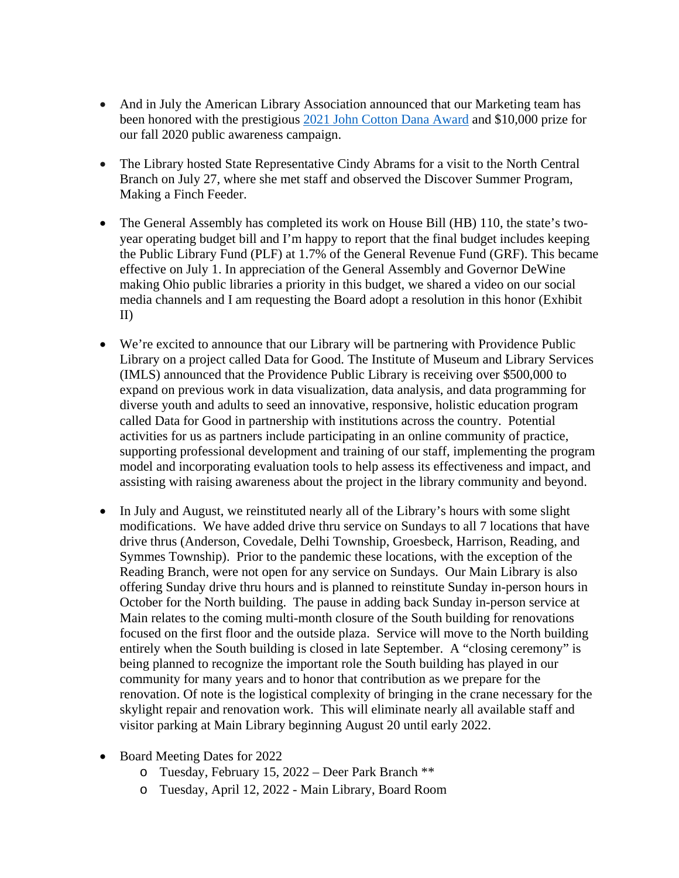- And in July the American Library Association announced that our Marketing team has been honored with the prestigious [2021 John Cotton Dana Award](https://www.ala.org/news/member-news/2021/07/2021-john-cotton-dana-awards-selected) and \$10,000 prize for our fall 2020 public awareness campaign.
- The Library hosted State Representative Cindy Abrams for a visit to the North Central Branch on July 27, where she met staff and observed the Discover Summer Program, Making a Finch Feeder.
- The General Assembly has completed its work on House Bill (HB) 110, the state's twoyear operating budget bill and I'm happy to report that the final budget includes keeping the Public Library Fund (PLF) at 1.7% of the General Revenue Fund (GRF). This became effective on July 1. In appreciation of the General Assembly and Governor DeWine making Ohio public libraries a priority in this budget, we shared a video on our social media channels and I am requesting the Board adopt a resolution in this honor (Exhibit II)
- We're excited to announce that our Library will be partnering with Providence Public Library on a project called Data for Good. The Institute of Museum and Library Services (IMLS) announced that the Providence Public Library is receiving over \$500,000 to expand on previous work in data visualization, data analysis, and data programming for diverse youth and adults to seed an innovative, responsive, holistic education program called Data for Good in partnership with institutions across the country. Potential activities for us as partners include participating in an online community of practice, supporting professional development and training of our staff, implementing the program model and incorporating evaluation tools to help assess its effectiveness and impact, and assisting with raising awareness about the project in the library community and beyond.
- In July and August, we reinstituted nearly all of the Library's hours with some slight modifications. We have added drive thru service on Sundays to all 7 locations that have drive thrus (Anderson, Covedale, Delhi Township, Groesbeck, Harrison, Reading, and Symmes Township). Prior to the pandemic these locations, with the exception of the Reading Branch, were not open for any service on Sundays. Our Main Library is also offering Sunday drive thru hours and is planned to reinstitute Sunday in-person hours in October for the North building. The pause in adding back Sunday in-person service at Main relates to the coming multi-month closure of the South building for renovations focused on the first floor and the outside plaza. Service will move to the North building entirely when the South building is closed in late September. A "closing ceremony" is being planned to recognize the important role the South building has played in our community for many years and to honor that contribution as we prepare for the renovation. Of note is the logistical complexity of bringing in the crane necessary for the skylight repair and renovation work. This will eliminate nearly all available staff and visitor parking at Main Library beginning August 20 until early 2022.
- Board Meeting Dates for 2022
	- o Tuesday, February 15, 2022 Deer Park Branch \*\*
	- o Tuesday, April 12, 2022 Main Library, Board Room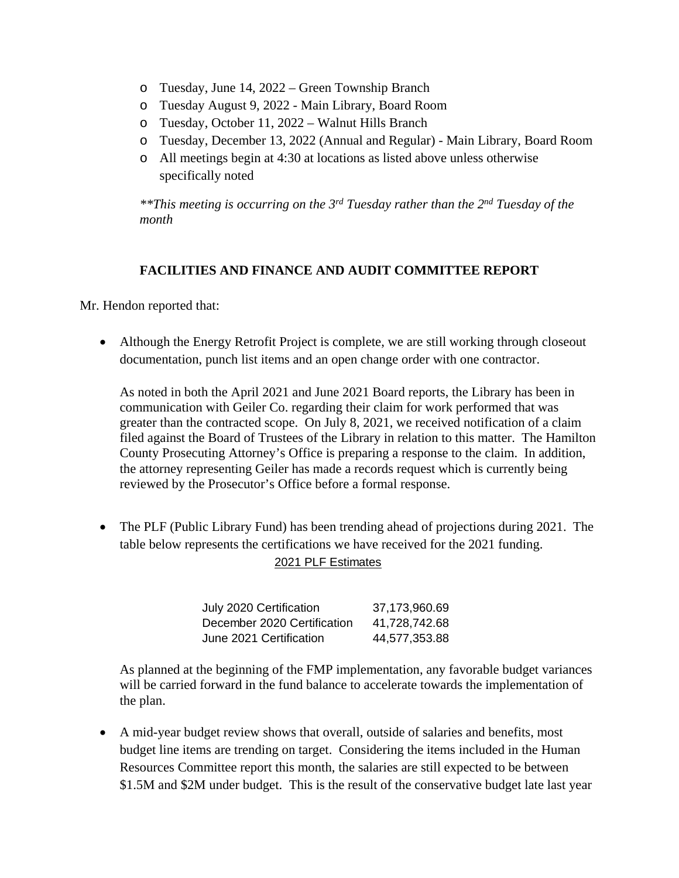- o Tuesday, June 14, 2022 Green Township Branch
- o Tuesday August 9, 2022 Main Library, Board Room
- o Tuesday, October 11, 2022 Walnut Hills Branch
- o Tuesday, December 13, 2022 (Annual and Regular) Main Library, Board Room
- o All meetings begin at 4:30 at locations as listed above unless otherwise specifically noted

*\*\*This meeting is occurring on the 3rd Tuesday rather than the 2nd Tuesday of the month*

#### **FACILITIES AND FINANCE AND AUDIT COMMITTEE REPORT**

Mr. Hendon reported that:

• Although the Energy Retrofit Project is complete, we are still working through closeout documentation, punch list items and an open change order with one contractor.

As noted in both the April 2021 and June 2021 Board reports, the Library has been in communication with Geiler Co. regarding their claim for work performed that was greater than the contracted scope. On July 8, 2021, we received notification of a claim filed against the Board of Trustees of the Library in relation to this matter. The Hamilton County Prosecuting Attorney's Office is preparing a response to the claim. In addition, the attorney representing Geiler has made a records request which is currently being reviewed by the Prosecutor's Office before a formal response.

• The PLF (Public Library Fund) has been trending ahead of projections during 2021. The table below represents the certifications we have received for the 2021 funding. 2021 PLF Estimates

| July 2020 Certification     | 37,173,960.69 |
|-----------------------------|---------------|
| December 2020 Certification | 41.728.742.68 |
| June 2021 Certification     | 44.577.353.88 |

 As planned at the beginning of the FMP implementation, any favorable budget variances will be carried forward in the fund balance to accelerate towards the implementation of the plan.

• A mid-year budget review shows that overall, outside of salaries and benefits, most budget line items are trending on target. Considering the items included in the Human Resources Committee report this month, the salaries are still expected to be between \$1.5M and \$2M under budget. This is the result of the conservative budget late last year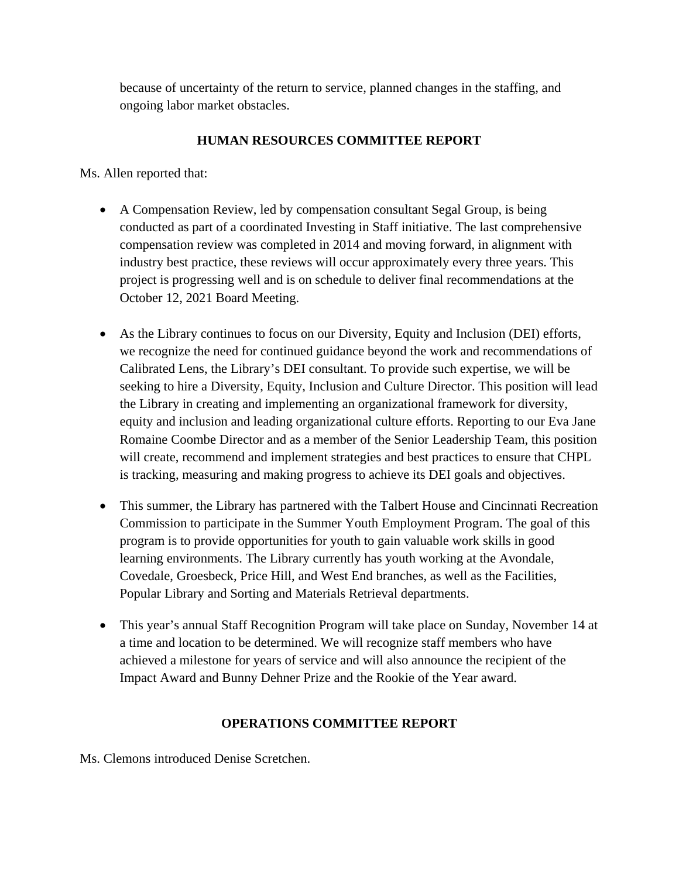because of uncertainty of the return to service, planned changes in the staffing, and ongoing labor market obstacles.

## **HUMAN RESOURCES COMMITTEE REPORT**

Ms. Allen reported that:

- A Compensation Review, led by compensation consultant Segal Group, is being conducted as part of a coordinated Investing in Staff initiative. The last comprehensive compensation review was completed in 2014 and moving forward, in alignment with industry best practice, these reviews will occur approximately every three years. This project is progressing well and is on schedule to deliver final recommendations at the October 12, 2021 Board Meeting.
- As the Library continues to focus on our Diversity, Equity and Inclusion (DEI) efforts, we recognize the need for continued guidance beyond the work and recommendations of Calibrated Lens, the Library's DEI consultant. To provide such expertise, we will be seeking to hire a Diversity, Equity, Inclusion and Culture Director. This position will lead the Library in creating and implementing an organizational framework for diversity, equity and inclusion and leading organizational culture efforts. Reporting to our Eva Jane Romaine Coombe Director and as a member of the Senior Leadership Team, this position will create, recommend and implement strategies and best practices to ensure that CHPL is tracking, measuring and making progress to achieve its DEI goals and objectives.
- This summer, the Library has partnered with the Talbert House and Cincinnati Recreation Commission to participate in the Summer Youth Employment Program. The goal of this program is to provide opportunities for youth to gain valuable work skills in good learning environments. The Library currently has youth working at the Avondale, Covedale, Groesbeck, Price Hill, and West End branches, as well as the Facilities, Popular Library and Sorting and Materials Retrieval departments.
- This year's annual Staff Recognition Program will take place on Sunday, November 14 at a time and location to be determined. We will recognize staff members who have achieved a milestone for years of service and will also announce the recipient of the Impact Award and Bunny Dehner Prize and the Rookie of the Year award.

#### **OPERATIONS COMMITTEE REPORT**

Ms. Clemons introduced Denise Scretchen.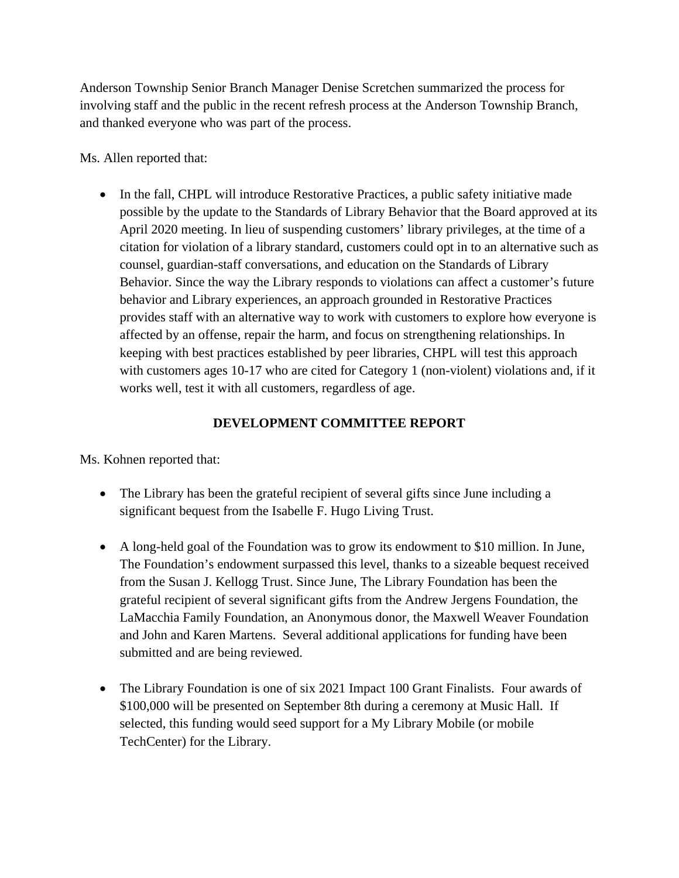Anderson Township Senior Branch Manager Denise Scretchen summarized the process for involving staff and the public in the recent refresh process at the Anderson Township Branch, and thanked everyone who was part of the process.

Ms. Allen reported that:

• In the fall, CHPL will introduce Restorative Practices, a public safety initiative made possible by the update to the Standards of Library Behavior that the Board approved at its April 2020 meeting. In lieu of suspending customers' library privileges, at the time of a citation for violation of a library standard, customers could opt in to an alternative such as counsel, guardian-staff conversations, and education on the Standards of Library Behavior. Since the way the Library responds to violations can affect a customer's future behavior and Library experiences, an approach grounded in Restorative Practices provides staff with an alternative way to work with customers to explore how everyone is affected by an offense, repair the harm, and focus on strengthening relationships. In keeping with best practices established by peer libraries, CHPL will test this approach with customers ages 10-17 who are cited for Category 1 (non-violent) violations and, if it works well, test it with all customers, regardless of age.

## **DEVELOPMENT COMMITTEE REPORT**

Ms. Kohnen reported that:

- The Library has been the grateful recipient of several gifts since June including a significant bequest from the Isabelle F. Hugo Living Trust.
- A long-held goal of the Foundation was to grow its endowment to \$10 million. In June, The Foundation's endowment surpassed this level, thanks to a sizeable bequest received from the Susan J. Kellogg Trust. Since June, The Library Foundation has been the grateful recipient of several significant gifts from the Andrew Jergens Foundation, the LaMacchia Family Foundation, an Anonymous donor, the Maxwell Weaver Foundation and John and Karen Martens. Several additional applications for funding have been submitted and are being reviewed.
- The Library Foundation is one of six 2021 Impact 100 Grant Finalists. Four awards of \$100,000 will be presented on September 8th during a ceremony at Music Hall. If selected, this funding would seed support for a My Library Mobile (or mobile TechCenter) for the Library.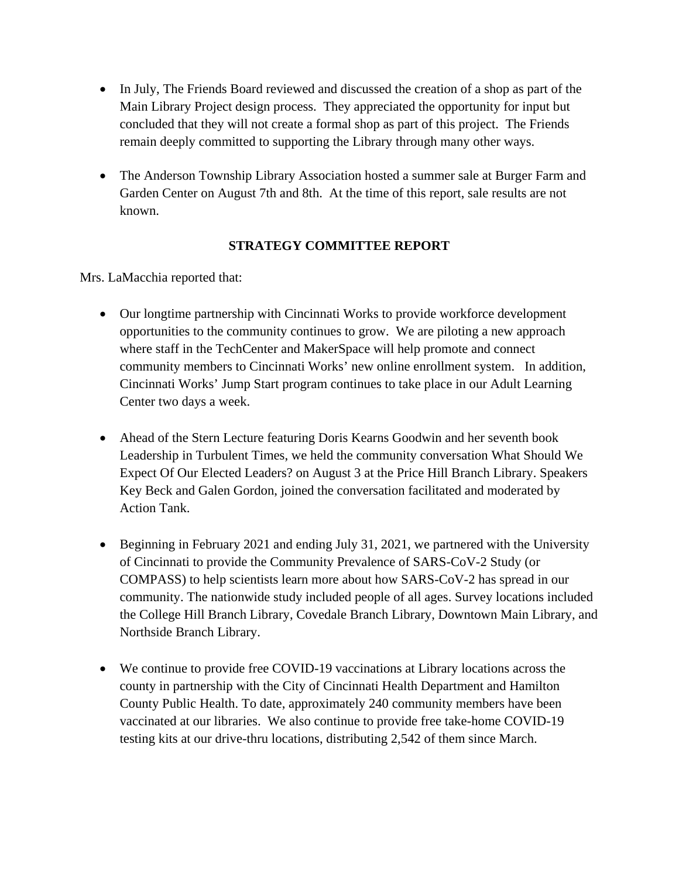- In July, The Friends Board reviewed and discussed the creation of a shop as part of the Main Library Project design process. They appreciated the opportunity for input but concluded that they will not create a formal shop as part of this project. The Friends remain deeply committed to supporting the Library through many other ways.
- The Anderson Township Library Association hosted a summer sale at Burger Farm and Garden Center on August 7th and 8th. At the time of this report, sale results are not known.

#### **STRATEGY COMMITTEE REPORT**

Mrs. LaMacchia reported that:

- Our longtime partnership with Cincinnati Works to provide workforce development opportunities to the community continues to grow. We are piloting a new approach where staff in the TechCenter and MakerSpace will help promote and connect community members to Cincinnati Works' new online enrollment system. In addition, Cincinnati Works' Jump Start program continues to take place in our Adult Learning Center two days a week.
- Ahead of the Stern Lecture featuring Doris Kearns Goodwin and her seventh book Leadership in Turbulent Times, we held the community conversation What Should We Expect Of Our Elected Leaders? on August 3 at the Price Hill Branch Library. Speakers Key Beck and Galen Gordon, joined the conversation facilitated and moderated by Action Tank.
- Beginning in February 2021 and ending July 31, 2021, we partnered with the University of Cincinnati to provide the Community Prevalence of SARS-CoV-2 Study (or COMPASS) to help scientists learn more about how SARS-CoV-2 has spread in our community. The nationwide study included people of all ages. Survey locations included the College Hill Branch Library, Covedale Branch Library, Downtown Main Library, and Northside Branch Library.
- We continue to provide free COVID-19 vaccinations at Library locations across the county in partnership with the City of Cincinnati Health Department and Hamilton County Public Health. To date, approximately 240 community members have been vaccinated at our libraries. We also continue to provide free take-home COVID-19 testing kits at our drive-thru locations, distributing 2,542 of them since March.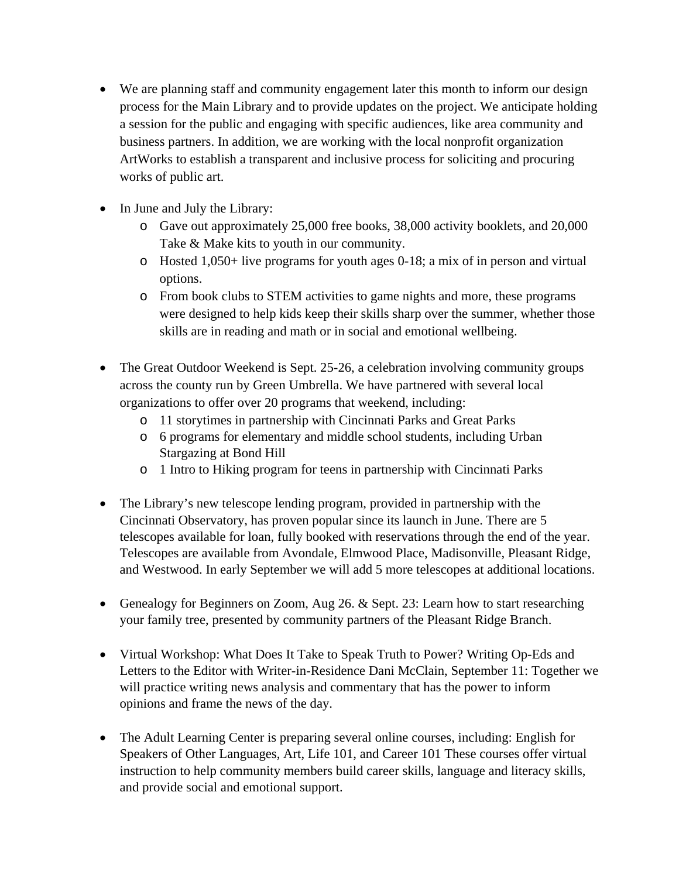- We are planning staff and community engagement later this month to inform our design process for the Main Library and to provide updates on the project. We anticipate holding a session for the public and engaging with specific audiences, like area community and business partners. In addition, we are working with the local nonprofit organization ArtWorks to establish a transparent and inclusive process for soliciting and procuring works of public art.
- In June and July the Library:
	- o Gave out approximately 25,000 free books, 38,000 activity booklets, and 20,000 Take & Make kits to youth in our community.
	- o Hosted 1,050+ live programs for youth ages 0-18; a mix of in person and virtual options.
	- o From book clubs to STEM activities to game nights and more, these programs were designed to help kids keep their skills sharp over the summer, whether those skills are in reading and math or in social and emotional wellbeing.
- The Great Outdoor Weekend is Sept. 25-26, a celebration involving community groups across the county run by Green Umbrella. We have partnered with several local organizations to offer over 20 programs that weekend, including:
	- o 11 storytimes in partnership with Cincinnati Parks and Great Parks
	- o 6 programs for elementary and middle school students, including Urban Stargazing at Bond Hill
	- o 1 Intro to Hiking program for teens in partnership with Cincinnati Parks
- The Library's new telescope lending program, provided in partnership with the Cincinnati Observatory, has proven popular since its launch in June. There are 5 telescopes available for loan, fully booked with reservations through the end of the year. Telescopes are available from Avondale, Elmwood Place, Madisonville, Pleasant Ridge, and Westwood. In early September we will add 5 more telescopes at additional locations.
- Genealogy for Beginners on Zoom, Aug 26. & Sept. 23: Learn how to start researching your family tree, presented by community partners of the Pleasant Ridge Branch.
- Virtual Workshop: What Does It Take to Speak Truth to Power? Writing Op-Eds and Letters to the Editor with Writer-in-Residence Dani McClain, September 11: Together we will practice writing news analysis and commentary that has the power to inform opinions and frame the news of the day.
- The Adult Learning Center is preparing several online courses, including: English for Speakers of Other Languages, Art, Life 101, and Career 101 These courses offer virtual instruction to help community members build career skills, language and literacy skills, and provide social and emotional support.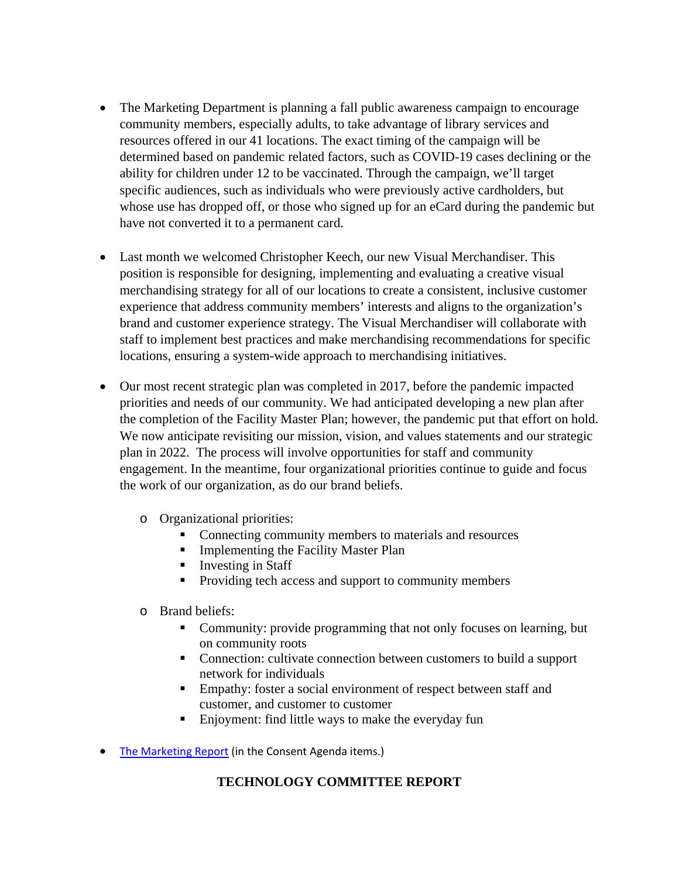- The Marketing Department is planning a fall public awareness campaign to encourage community members, especially adults, to take advantage of library services and resources offered in our 41 locations. The exact timing of the campaign will be determined based on pandemic related factors, such as COVID-19 cases declining or the ability for children under 12 to be vaccinated. Through the campaign, we'll target specific audiences, such as individuals who were previously active cardholders, but whose use has dropped off, or those who signed up for an eCard during the pandemic but have not converted it to a permanent card.
- Last month we welcomed Christopher Keech, our new Visual Merchandiser. This position is responsible for designing, implementing and evaluating a creative visual merchandising strategy for all of our locations to create a consistent, inclusive customer experience that address community members' interests and aligns to the organization's brand and customer experience strategy. The Visual Merchandiser will collaborate with staff to implement best practices and make merchandising recommendations for specific locations, ensuring a system-wide approach to merchandising initiatives.
- Our most recent strategic plan was completed in 2017, before the pandemic impacted priorities and needs of our community. We had anticipated developing a new plan after the completion of the Facility Master Plan; however, the pandemic put that effort on hold. We now anticipate revisiting our mission, vision, and values statements and our strategic plan in 2022. The process will involve opportunities for staff and community engagement. In the meantime, four organizational priorities continue to guide and focus the work of our organization, as do our brand beliefs.
	- o Organizational priorities:
		- Connecting community members to materials and resources
		- **Implementing the Facility Master Plan**
		- $\blacksquare$  Investing in Staff
		- Providing tech access and support to community members
	- o Brand beliefs:
		- Community: provide programming that not only focuses on learning, but on community roots
		- Connection: cultivate connection between customers to build a support network for individuals
		- **Empathy:** foster a social environment of respect between staff and customer, and customer to customer
		- **Enjoyment:** find little ways to make the everyday fun
- [The Marketing Report](https://cincinnatilibrary-my.sharepoint.com/:b:/g/personal/elaine_fay_cincinnatilibrary_org/ESF-H8vhVWJPmzHujKw9KDABRkKpuPN9Gov7yRNLAGnAEQ?e=CS2vyf) (in the Consent Agenda items.)

#### **TECHNOLOGY COMMITTEE REPORT**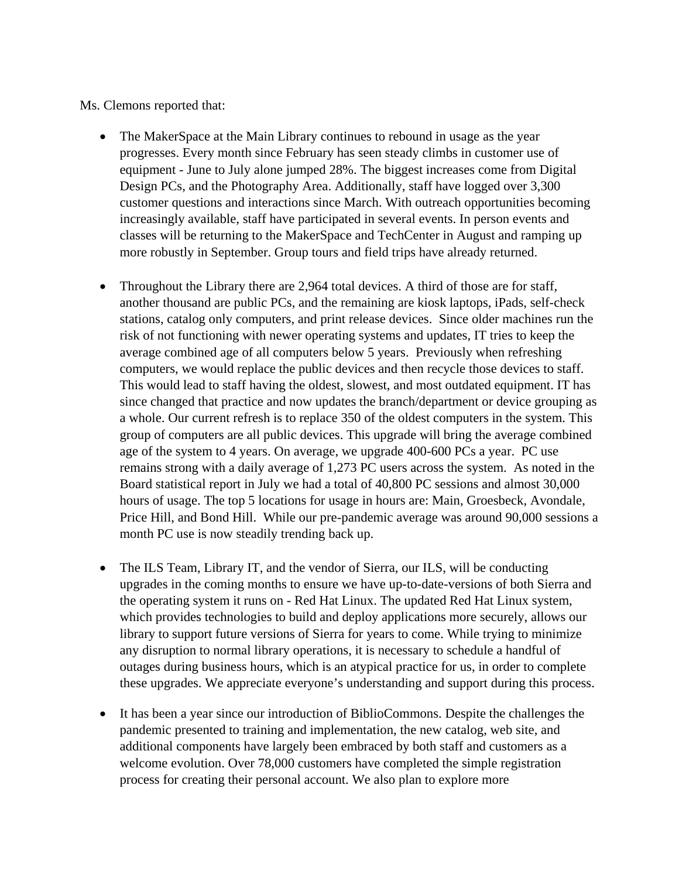Ms. Clemons reported that:

- The MakerSpace at the Main Library continues to rebound in usage as the year progresses. Every month since February has seen steady climbs in customer use of equipment - June to July alone jumped 28%. The biggest increases come from Digital Design PCs, and the Photography Area. Additionally, staff have logged over 3,300 customer questions and interactions since March. With outreach opportunities becoming increasingly available, staff have participated in several events. In person events and classes will be returning to the MakerSpace and TechCenter in August and ramping up more robustly in September. Group tours and field trips have already returned.
- Throughout the Library there are 2,964 total devices. A third of those are for staff, another thousand are public PCs, and the remaining are kiosk laptops, iPads, self-check stations, catalog only computers, and print release devices. Since older machines run the risk of not functioning with newer operating systems and updates, IT tries to keep the average combined age of all computers below 5 years. Previously when refreshing computers, we would replace the public devices and then recycle those devices to staff. This would lead to staff having the oldest, slowest, and most outdated equipment. IT has since changed that practice and now updates the branch/department or device grouping as a whole. Our current refresh is to replace 350 of the oldest computers in the system. This group of computers are all public devices. This upgrade will bring the average combined age of the system to 4 years. On average, we upgrade 400-600 PCs a year. PC use remains strong with a daily average of 1,273 PC users across the system. As noted in the Board statistical report in July we had a total of 40,800 PC sessions and almost 30,000 hours of usage. The top 5 locations for usage in hours are: Main, Groesbeck, Avondale, Price Hill, and Bond Hill. While our pre-pandemic average was around 90,000 sessions a month PC use is now steadily trending back up.
- The ILS Team, Library IT, and the vendor of Sierra, our ILS, will be conducting upgrades in the coming months to ensure we have up-to-date-versions of both Sierra and the operating system it runs on - Red Hat Linux. The updated Red Hat Linux system, which provides technologies to build and deploy applications more securely, allows our library to support future versions of Sierra for years to come. While trying to minimize any disruption to normal library operations, it is necessary to schedule a handful of outages during business hours, which is an atypical practice for us, in order to complete these upgrades. We appreciate everyone's understanding and support during this process.
- It has been a year since our introduction of BiblioCommons. Despite the challenges the pandemic presented to training and implementation, the new catalog, web site, and additional components have largely been embraced by both staff and customers as a welcome evolution. Over 78,000 customers have completed the simple registration process for creating their personal account. We also plan to explore more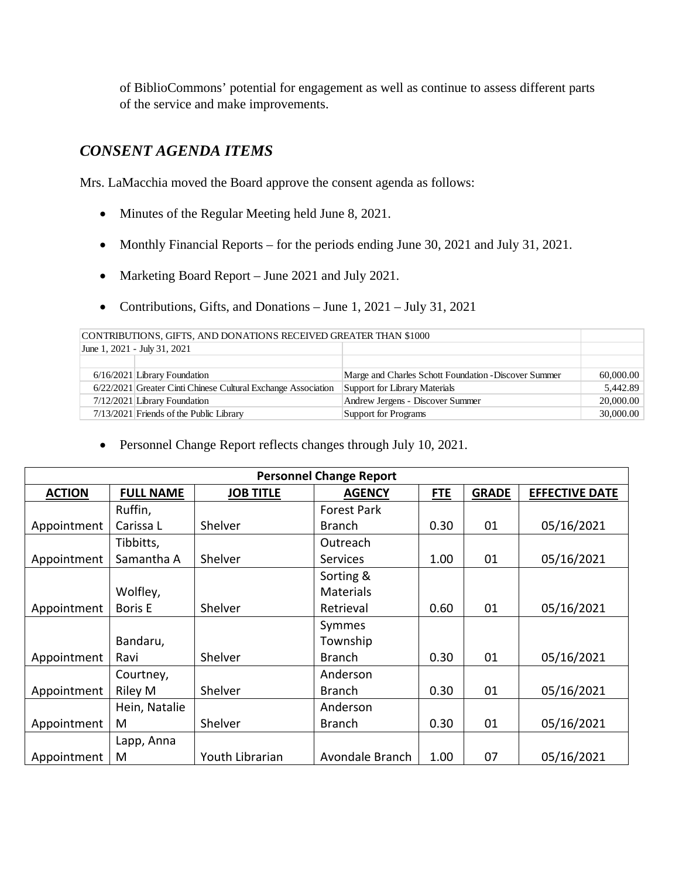of BiblioCommons' potential for engagement as well as continue to assess different parts of the service and make improvements.

## *CONSENT AGENDA ITEMS*

Mrs. LaMacchia moved the Board approve the consent agenda as follows:

- Minutes of the Regular Meeting held June 8, 2021.
- Monthly Financial Reports for the periods ending June 30, 2021 and July 31, 2021.
- Marketing Board Report June 2021 and July 2021.
- Contributions, Gifts, and Donations June 1, 2021 July 31, 2021

| CONTRIBUTIONS, GIFTS, AND DONATIONS RECEIVED GREATER THAN \$1000 |  |                                                                                                                                                                                                            |                               |  |  |
|------------------------------------------------------------------|--|------------------------------------------------------------------------------------------------------------------------------------------------------------------------------------------------------------|-------------------------------|--|--|
|                                                                  |  |                                                                                                                                                                                                            |                               |  |  |
|                                                                  |  |                                                                                                                                                                                                            |                               |  |  |
|                                                                  |  | Marge and Charles Schott Foundation - Discover Summer                                                                                                                                                      | 60,000.00                     |  |  |
|                                                                  |  |                                                                                                                                                                                                            | 5.442.89                      |  |  |
|                                                                  |  | Andrew Jergens - Discover Summer                                                                                                                                                                           | 20,000.00                     |  |  |
|                                                                  |  | Support for Programs                                                                                                                                                                                       | 30,000.00                     |  |  |
|                                                                  |  | June 1, 2021 - July 31, 2021<br>$6/16/2021$ Library Foundation<br>6/22/2021 Greater Cinti Chinese Cultural Exchange Association<br>7/12/2021 Library Foundation<br>7/13/2021 Friends of the Public Library | Support for Library Materials |  |  |

• Personnel Change Report reflects changes through July 10, 2021.

|               | <b>Personnel Change Report</b> |                  |                    |            |              |                       |  |
|---------------|--------------------------------|------------------|--------------------|------------|--------------|-----------------------|--|
| <b>ACTION</b> | <b>FULL NAME</b>               | <b>JOB TITLE</b> | <b>AGENCY</b>      | <b>FTE</b> | <b>GRADE</b> | <b>EFFECTIVE DATE</b> |  |
|               | Ruffin,                        |                  | <b>Forest Park</b> |            |              |                       |  |
| Appointment   | Carissa L                      | Shelver          | Branch             | 0.30       | 01           | 05/16/2021            |  |
|               | Tibbitts,                      |                  | Outreach           |            |              |                       |  |
| Appointment   | Samantha A                     | Shelver          | Services           | 1.00       | 01           | 05/16/2021            |  |
|               |                                |                  | Sorting &          |            |              |                       |  |
|               | Wolfley,                       |                  | <b>Materials</b>   |            |              |                       |  |
| Appointment   | <b>Boris E</b>                 | Shelver          | Retrieval          | 0.60       | 01           | 05/16/2021            |  |
|               |                                |                  | Symmes             |            |              |                       |  |
|               | Bandaru,                       |                  | Township           |            |              |                       |  |
| Appointment   | Ravi                           | Shelver          | <b>Branch</b>      | 0.30       | 01           | 05/16/2021            |  |
|               | Courtney,                      |                  | Anderson           |            |              |                       |  |
| Appointment   | Riley M                        | Shelver          | <b>Branch</b>      | 0.30       | 01           | 05/16/2021            |  |
|               | Hein, Natalie                  |                  | Anderson           |            |              |                       |  |
| Appointment   | M                              | Shelver          | Branch             | 0.30       | 01           | 05/16/2021            |  |
|               | Lapp, Anna                     |                  |                    |            |              |                       |  |
| Appointment   | M                              | Youth Librarian  | Avondale Branch    | 1.00       | 07           | 05/16/2021            |  |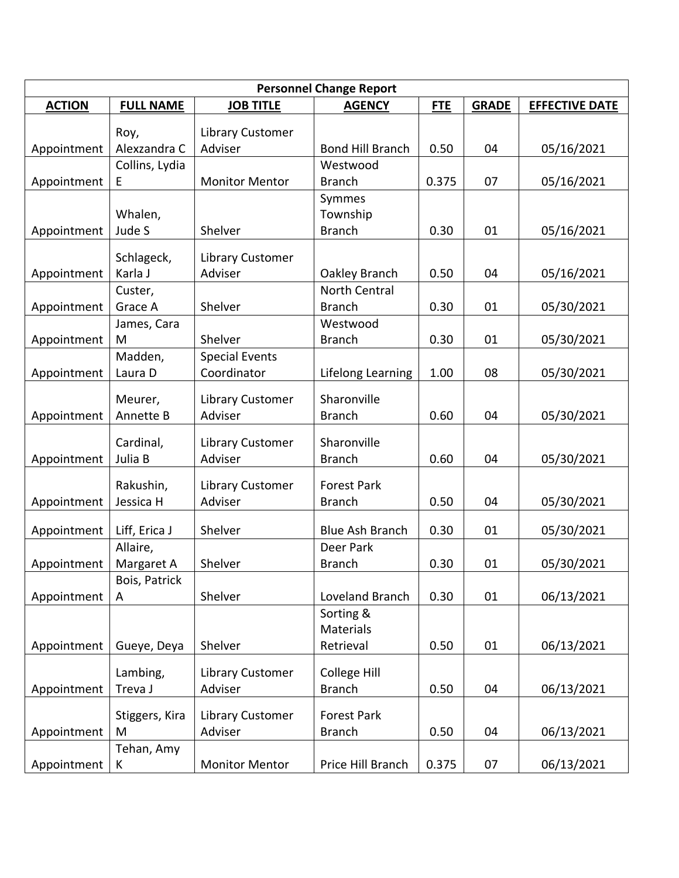|               |                    |                       | <b>Personnel Change Report</b> |            |              |                       |
|---------------|--------------------|-----------------------|--------------------------------|------------|--------------|-----------------------|
| <b>ACTION</b> | <b>FULL NAME</b>   | <b>JOB TITLE</b>      | <b>AGENCY</b>                  | <b>FTE</b> | <b>GRADE</b> | <b>EFFECTIVE DATE</b> |
|               | Roy,               | Library Customer      |                                |            |              |                       |
| Appointment   | Alexzandra C       | Adviser               | <b>Bond Hill Branch</b>        | 0.50       | 04           | 05/16/2021            |
|               | Collins, Lydia     |                       | Westwood                       |            |              |                       |
| Appointment   | Е                  | <b>Monitor Mentor</b> | <b>Branch</b>                  | 0.375      | 07           | 05/16/2021            |
|               |                    |                       | Symmes                         |            |              |                       |
|               | Whalen,            |                       | Township                       |            |              |                       |
| Appointment   | Jude S             | Shelver               | <b>Branch</b>                  | 0.30       | 01           | 05/16/2021            |
|               |                    |                       |                                |            |              |                       |
|               | Schlageck,         | Library Customer      |                                |            |              |                       |
| Appointment   | Karla J            | Adviser               | Oakley Branch<br>North Central | 0.50       | 04           | 05/16/2021            |
|               | Custer,<br>Grace A | Shelver               | <b>Branch</b>                  | 0.30       | 01           |                       |
| Appointment   |                    |                       | Westwood                       |            |              | 05/30/2021            |
| Appointment   | James, Cara<br>M   | Shelver               | <b>Branch</b>                  | 0.30       | 01           | 05/30/2021            |
|               | Madden,            | <b>Special Events</b> |                                |            |              |                       |
| Appointment   | Laura D            | Coordinator           | Lifelong Learning              | 1.00       | 08           | 05/30/2021            |
|               |                    |                       |                                |            |              |                       |
|               | Meurer,            | Library Customer      | Sharonville                    |            |              |                       |
| Appointment   | Annette B          | Adviser               | <b>Branch</b>                  | 0.60       | 04           | 05/30/2021            |
|               | Cardinal,          | Library Customer      | Sharonville                    |            |              |                       |
| Appointment   | Julia B            | Adviser               | <b>Branch</b>                  | 0.60       | 04           | 05/30/2021            |
|               |                    |                       |                                |            |              |                       |
|               | Rakushin,          | Library Customer      | <b>Forest Park</b>             |            |              |                       |
| Appointment   | Jessica H          | Adviser               | <b>Branch</b>                  | 0.50       | 04           | 05/30/2021            |
| Appointment   | Liff, Erica J      | Shelver               | <b>Blue Ash Branch</b>         | 0.30       | 01           | 05/30/2021            |
|               | Allaire,           |                       | Deer Park                      |            |              |                       |
| Appointment   | Margaret A         | Shelver               | <b>Branch</b>                  | 0.30       | 01           | 05/30/2021            |
|               | Bois, Patrick      |                       |                                |            |              |                       |
| Appointment   | A                  | Shelver               | Loveland Branch                | 0.30       | 01           | 06/13/2021            |
|               |                    |                       | Sorting &                      |            |              |                       |
|               |                    |                       | Materials                      |            |              |                       |
| Appointment   | Gueye, Deya        | Shelver               | Retrieval                      | 0.50       | 01           | 06/13/2021            |
|               |                    |                       |                                |            |              |                       |
|               | Lambing,           | Library Customer      | College Hill                   |            |              |                       |
| Appointment   | Treva J            | Adviser               | <b>Branch</b>                  | 0.50       | 04           | 06/13/2021            |
|               | Stiggers, Kira     | Library Customer      | Forest Park                    |            |              |                       |
| Appointment   | M                  | Adviser               | <b>Branch</b>                  | 0.50       | 04           | 06/13/2021            |
|               | Tehan, Amy         |                       |                                |            |              |                       |
| Appointment   | К                  | <b>Monitor Mentor</b> | Price Hill Branch              | 0.375      | 07           | 06/13/2021            |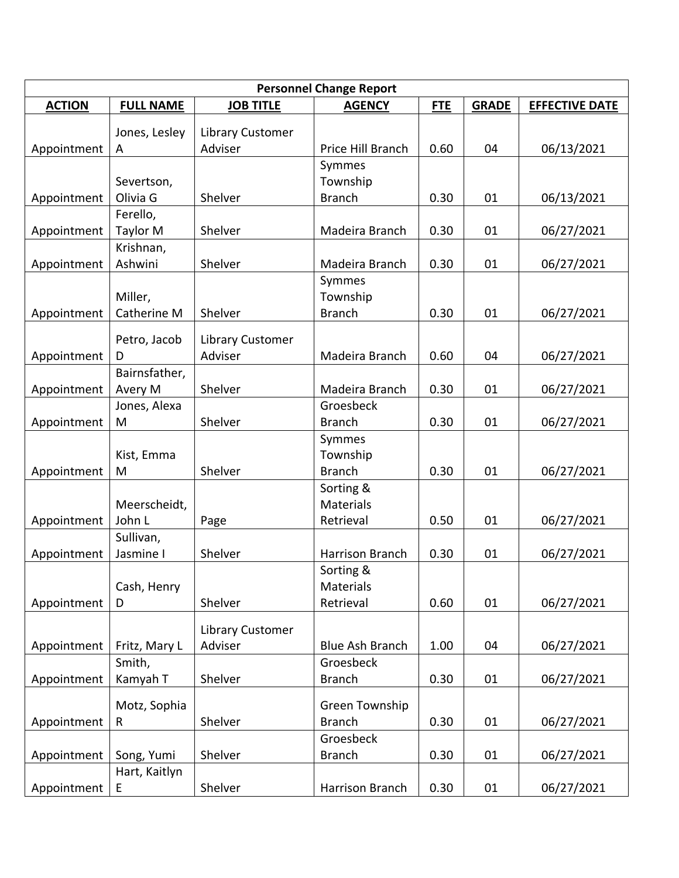| <b>Personnel Change Report</b> |                         |                             |                        |            |              |                       |
|--------------------------------|-------------------------|-----------------------------|------------------------|------------|--------------|-----------------------|
| <b>ACTION</b>                  | <b>FULL NAME</b>        | <b>JOB TITLE</b>            | <b>AGENCY</b>          | <b>FTE</b> | <b>GRADE</b> | <b>EFFECTIVE DATE</b> |
|                                | Jones, Lesley           | Library Customer            |                        |            |              |                       |
| Appointment                    | A                       | Adviser                     | Price Hill Branch      | 0.60       | 04           | 06/13/2021            |
|                                |                         |                             | Symmes                 |            |              |                       |
|                                | Severtson,              |                             | Township               |            |              |                       |
| Appointment                    | Olivia G                | Shelver                     | <b>Branch</b>          | 0.30       | 01           | 06/13/2021            |
|                                | Ferello,                |                             |                        |            |              |                       |
| Appointment                    | Taylor M                | Shelver                     | Madeira Branch         | 0.30       | 01           | 06/27/2021            |
|                                | Krishnan,               |                             |                        |            |              |                       |
| Appointment                    | Ashwini                 | Shelver                     | Madeira Branch         | 0.30       | 01           | 06/27/2021            |
|                                |                         |                             | Symmes                 |            |              |                       |
|                                | Miller,                 |                             | Township               |            |              |                       |
| Appointment                    | Catherine M             | Shelver                     | <b>Branch</b>          | 0.30       | 01           | 06/27/2021            |
|                                | Petro, Jacob            | Library Customer            |                        |            |              |                       |
| Appointment                    | D                       | Adviser                     | Madeira Branch         | 0.60       | 04           | 06/27/2021            |
|                                | Bairnsfather,           |                             |                        |            |              |                       |
| Appointment                    | Avery M                 | Shelver                     | Madeira Branch         | 0.30       | 01           | 06/27/2021            |
|                                | Jones, Alexa            |                             | Groesbeck              |            |              |                       |
| Appointment                    | M                       | Shelver                     | <b>Branch</b>          | 0.30       | 01           | 06/27/2021            |
|                                |                         |                             | Symmes                 |            |              |                       |
|                                | Kist, Emma              |                             | Township               |            |              |                       |
| Appointment                    | M                       | Shelver                     | <b>Branch</b>          | 0.30       | 01           | 06/27/2021            |
|                                |                         |                             | Sorting &              |            |              |                       |
| Appointment                    | Meerscheidt,<br>John L  |                             | Materials<br>Retrieval | 0.50       | 01           | 06/27/2021            |
|                                | Sullivan,               | Page                        |                        |            |              |                       |
| Appointment                    | Jasmine I               | Shelver                     | Harrison Branch        | 0.30       | 01           | 06/27/2021            |
|                                |                         |                             | Sorting &              |            |              |                       |
|                                | Cash, Henry             |                             | <b>Materials</b>       |            |              |                       |
| Appointment                    | D                       | Shelver                     | Retrieval              | 0.60       | 01           | 06/27/2021            |
|                                |                         |                             |                        |            |              |                       |
|                                |                         | Library Customer<br>Adviser | <b>Blue Ash Branch</b> | 1.00       | 04           |                       |
| Appointment                    | Fritz, Mary L<br>Smith, |                             | Groesbeck              |            |              | 06/27/2021            |
| Appointment                    | Kamyah T                | Shelver                     | <b>Branch</b>          | 0.30       | 01           | 06/27/2021            |
|                                |                         |                             |                        |            |              |                       |
|                                | Motz, Sophia            |                             | Green Township         |            |              |                       |
| Appointment                    | R                       | Shelver                     | <b>Branch</b>          | 0.30       | 01           | 06/27/2021            |
|                                |                         |                             | Groesbeck              |            |              |                       |
| Appointment                    | Song, Yumi              | Shelver                     | <b>Branch</b>          | 0.30       | 01           | 06/27/2021            |
|                                | Hart, Kaitlyn           |                             |                        |            |              |                       |
| Appointment                    | E                       | Shelver                     | Harrison Branch        | 0.30       | 01           | 06/27/2021            |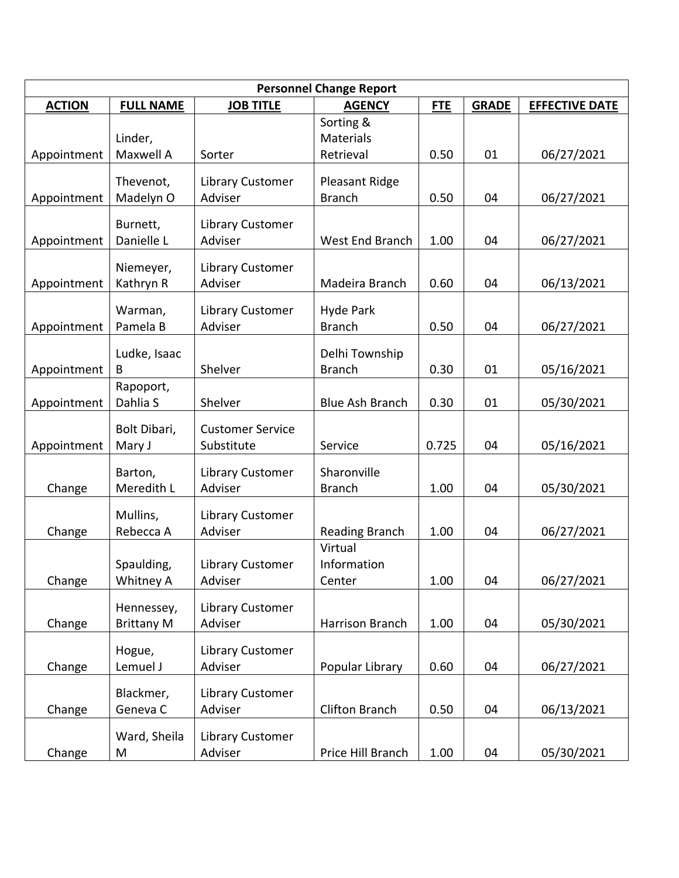| <b>Personnel Change Report</b> |                                 |                                       |                                   |            |              |                       |
|--------------------------------|---------------------------------|---------------------------------------|-----------------------------------|------------|--------------|-----------------------|
| <b>ACTION</b>                  | <b>FULL NAME</b>                | <b>JOB TITLE</b>                      | <b>AGENCY</b>                     | <b>FTE</b> | <b>GRADE</b> | <b>EFFECTIVE DATE</b> |
|                                | Linder,                         |                                       | Sorting &<br>Materials            |            |              |                       |
| Appointment                    | Maxwell A                       | Sorter                                | Retrieval                         | 0.50       | 01           | 06/27/2021            |
|                                | Thevenot,<br>Madelyn O          | Library Customer<br>Adviser           | Pleasant Ridge<br><b>Branch</b>   | 0.50       | 04           | 06/27/2021            |
| Appointment                    |                                 |                                       |                                   |            |              |                       |
| Appointment                    | Burnett,<br>Danielle L          | Library Customer<br>Adviser           | West End Branch                   | 1.00       | 04           | 06/27/2021            |
| Appointment                    | Niemeyer,<br>Kathryn R          | Library Customer<br>Adviser           | Madeira Branch                    | 0.60       | 04           | 06/13/2021            |
|                                |                                 |                                       |                                   |            |              |                       |
| Appointment                    | Warman,<br>Pamela B             | Library Customer<br>Adviser           | <b>Hyde Park</b><br><b>Branch</b> | 0.50       | 04           | 06/27/2021            |
| Appointment                    | Ludke, Isaac<br>B               | Shelver                               | Delhi Township<br><b>Branch</b>   | 0.30       | 01           | 05/16/2021            |
|                                | Rapoport,                       |                                       |                                   |            |              |                       |
| Appointment                    | Dahlia S                        | Shelver                               | <b>Blue Ash Branch</b>            | 0.30       | 01           | 05/30/2021            |
| Appointment                    | Bolt Dibari,<br>Mary J          | <b>Customer Service</b><br>Substitute | Service                           | 0.725      | 04           | 05/16/2021            |
| Change                         | Barton,<br>Meredith L           | <b>Library Customer</b><br>Adviser    | Sharonville<br><b>Branch</b>      | 1.00       | 04           | 05/30/2021            |
| Change                         | Mullins,<br>Rebecca A           | <b>Library Customer</b><br>Adviser    | Reading Branch                    | 1.00       | 04           | 06/27/2021            |
|                                | Spaulding,                      | <b>Library Customer</b>               | Virtual<br>Information            |            |              |                       |
| Change                         | Whitney A                       | Adviser                               | Center                            | 1.00       | 04           | 06/27/2021            |
| Change                         | Hennessey,<br><b>Brittany M</b> | <b>Library Customer</b><br>Adviser    | Harrison Branch                   | 1.00       | 04           | 05/30/2021            |
| Change                         | Hogue,<br>Lemuel J              | Library Customer<br>Adviser           | Popular Library                   | 0.60       | 04           | 06/27/2021            |
| Change                         | Blackmer,<br>Geneva C           | Library Customer<br>Adviser           | <b>Clifton Branch</b>             | 0.50       | 04           | 06/13/2021            |
| Change                         | Ward, Sheila<br>M               | Library Customer<br>Adviser           | Price Hill Branch                 | 1.00       | 04           | 05/30/2021            |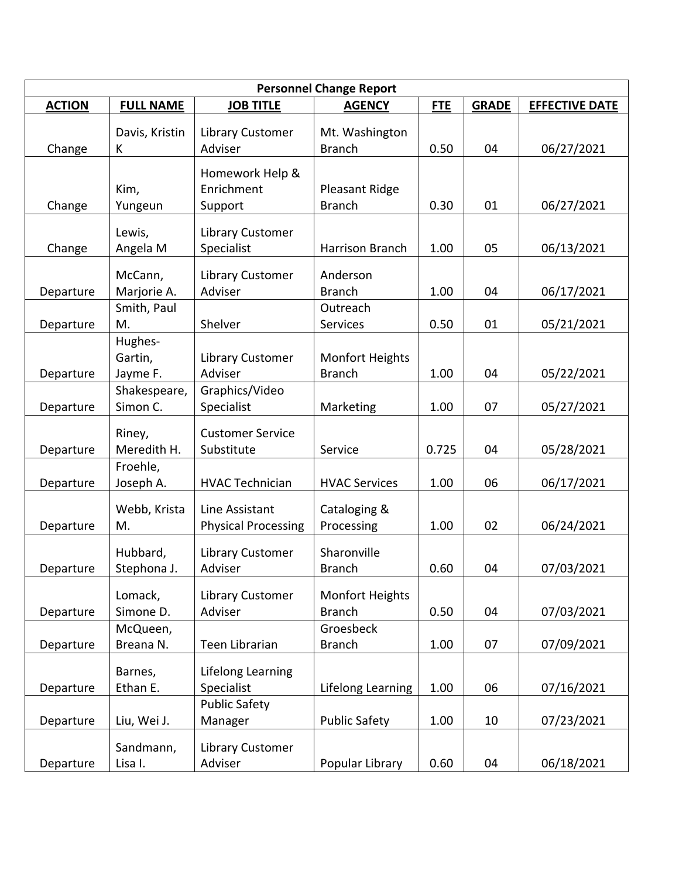| <b>Personnel Change Report</b> |                                |                                              |                                  |            |              |                       |
|--------------------------------|--------------------------------|----------------------------------------------|----------------------------------|------------|--------------|-----------------------|
| <b>ACTION</b>                  | <b>FULL NAME</b>               | <b>JOB TITLE</b>                             | <b>AGENCY</b>                    | <b>FTE</b> | <b>GRADE</b> | <b>EFFECTIVE DATE</b> |
| Change                         | Davis, Kristin<br>K            | Library Customer<br>Adviser                  | Mt. Washington<br><b>Branch</b>  | 0.50       | 04           | 06/27/2021            |
| Change                         | Kim,<br>Yungeun                | Homework Help &<br>Enrichment<br>Support     | Pleasant Ridge<br><b>Branch</b>  | 0.30       | 01           | 06/27/2021            |
| Change                         | Lewis,<br>Angela M             | Library Customer<br>Specialist               | Harrison Branch                  | 1.00       | 05           | 06/13/2021            |
| Departure                      | McCann,<br>Marjorie A.         | Library Customer<br>Adviser                  | Anderson<br><b>Branch</b>        | 1.00       | 04           | 06/17/2021            |
| Departure                      | Smith, Paul<br>M.              | Shelver                                      | Outreach<br>Services             | 0.50       | 01           | 05/21/2021            |
| Departure                      | Hughes-<br>Gartin,<br>Jayme F. | <b>Library Customer</b><br>Adviser           | Monfort Heights<br><b>Branch</b> | 1.00       | 04           | 05/22/2021            |
| Departure                      | Shakespeare,<br>Simon C.       | Graphics/Video<br>Specialist                 | Marketing                        | 1.00       | 07           | 05/27/2021            |
| Departure                      | Riney,<br>Meredith H.          | <b>Customer Service</b><br>Substitute        | Service                          | 0.725      | 04           | 05/28/2021            |
| Departure                      | Froehle,<br>Joseph A.          | <b>HVAC Technician</b>                       | <b>HVAC Services</b>             | 1.00       | 06           | 06/17/2021            |
| Departure                      | Webb, Krista<br>M.             | Line Assistant<br><b>Physical Processing</b> | Cataloging &<br>Processing       | 1.00       | 02           | 06/24/2021            |
| Departure                      | Hubbard,<br>Stephona J.        | <b>Library Customer</b><br>Adviser           | Sharonville<br><b>Branch</b>     | 0.60       | 04           | 07/03/2021            |
| Departure                      | Lomack,<br>Simone D.           | <b>Library Customer</b><br>Adviser           | Monfort Heights<br><b>Branch</b> | 0.50       | 04           | 07/03/2021            |
| Departure                      | McQueen,<br>Breana N.          | Teen Librarian                               | Groesbeck<br><b>Branch</b>       | 1.00       | 07           | 07/09/2021            |
| Departure                      | Barnes,<br>Ethan E.            | Lifelong Learning<br>Specialist              | Lifelong Learning                | 1.00       | 06           | 07/16/2021            |
| Departure                      | Liu, Wei J.                    | <b>Public Safety</b><br>Manager              | <b>Public Safety</b>             | 1.00       | 10           | 07/23/2021            |
| Departure                      | Sandmann,<br>Lisa I.           | Library Customer<br>Adviser                  | Popular Library                  | 0.60       | 04           | 06/18/2021            |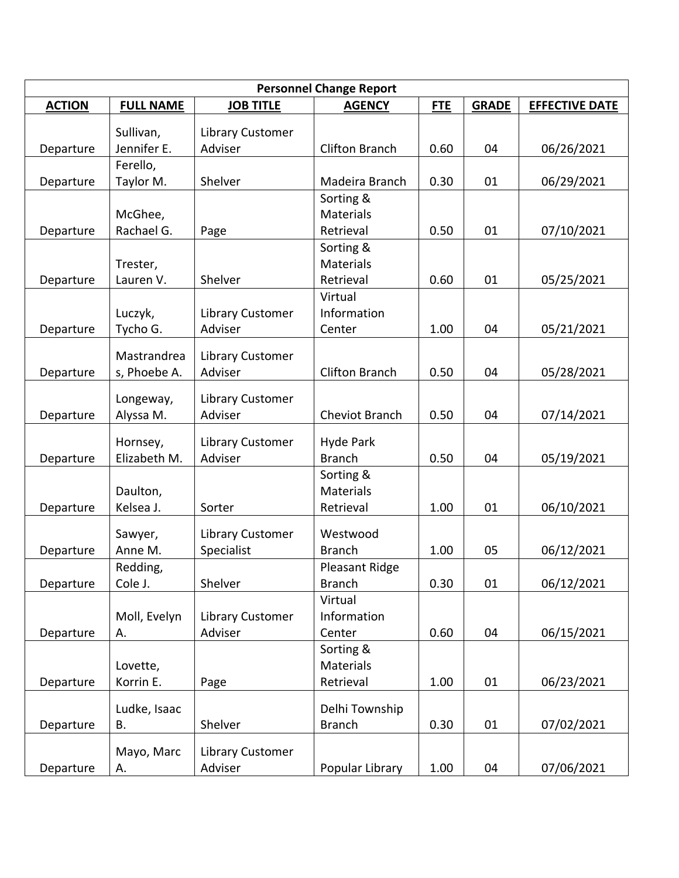| <b>Personnel Change Report</b> |                  |                                    |                       |            |              |                       |
|--------------------------------|------------------|------------------------------------|-----------------------|------------|--------------|-----------------------|
| <b>ACTION</b>                  | <b>FULL NAME</b> | <b>JOB TITLE</b>                   | <b>AGENCY</b>         | <b>FTE</b> | <b>GRADE</b> | <b>EFFECTIVE DATE</b> |
|                                | Sullivan,        | <b>Library Customer</b>            |                       |            |              |                       |
| Departure                      | Jennifer E.      | Adviser                            | <b>Clifton Branch</b> | 0.60       | 04           | 06/26/2021            |
|                                | Ferello,         |                                    |                       |            |              |                       |
| Departure                      | Taylor M.        | Shelver                            | Madeira Branch        | 0.30       | 01           | 06/29/2021            |
|                                |                  |                                    | Sorting &             |            |              |                       |
|                                | McGhee,          |                                    | <b>Materials</b>      |            |              |                       |
| Departure                      | Rachael G.       | Page                               | Retrieval             | 0.50       | 01           | 07/10/2021            |
|                                |                  |                                    | Sorting &             |            |              |                       |
|                                | Trester,         |                                    | <b>Materials</b>      |            |              |                       |
| Departure                      | Lauren V.        | Shelver                            | Retrieval             | 0.60       | 01           | 05/25/2021            |
|                                |                  |                                    | Virtual               |            |              |                       |
|                                | Luczyk,          | Library Customer                   | Information           |            |              |                       |
| Departure                      | Tycho G.         | Adviser                            | Center                | 1.00       | 04           | 05/21/2021            |
|                                | Mastrandrea      | <b>Library Customer</b>            |                       |            |              |                       |
| Departure                      | s, Phoebe A.     | Adviser                            | <b>Clifton Branch</b> | 0.50       | 04           | 05/28/2021            |
|                                |                  |                                    |                       |            |              |                       |
| Departure                      | Longeway,        | <b>Library Customer</b><br>Adviser | Cheviot Branch        | 0.50       | 04           | 07/14/2021            |
|                                | Alyssa M.        |                                    |                       |            |              |                       |
|                                | Hornsey,         | <b>Library Customer</b>            | <b>Hyde Park</b>      |            |              |                       |
| Departure                      | Elizabeth M.     | Adviser                            | <b>Branch</b>         | 0.50       | 04           | 05/19/2021            |
|                                |                  |                                    | Sorting &             |            |              |                       |
|                                | Daulton,         |                                    | <b>Materials</b>      |            |              |                       |
| Departure                      | Kelsea J.        | Sorter                             | Retrieval             | 1.00       | 01           | 06/10/2021            |
|                                | Sawyer,          | <b>Library Customer</b>            | Westwood              |            |              |                       |
| Departure                      | Anne M.          | Specialist                         | <b>Branch</b>         | 1.00       | 05           | 06/12/2021            |
|                                | Redding,         |                                    | Pleasant Ridge        |            |              |                       |
| Departure                      | Cole J.          | Shelver                            | <b>Branch</b>         | 0.30       | 01           | 06/12/2021            |
|                                |                  |                                    | Virtual               |            |              |                       |
|                                | Moll, Evelyn     | Library Customer                   | Information           |            |              |                       |
| Departure                      | А.               | Adviser                            | Center                | 0.60       | 04           | 06/15/2021            |
|                                |                  |                                    | Sorting &             |            |              |                       |
|                                | Lovette,         |                                    | Materials             |            |              |                       |
| Departure                      | Korrin E.        | Page                               | Retrieval             | 1.00       | 01           | 06/23/2021            |
|                                | Ludke, Isaac     |                                    | Delhi Township        |            |              |                       |
| Departure                      | В.               | Shelver                            | <b>Branch</b>         | 0.30       | 01           | 07/02/2021            |
|                                |                  |                                    |                       |            |              |                       |
|                                | Mayo, Marc       | <b>Library Customer</b>            |                       |            |              |                       |
| Departure                      | А.               | Adviser                            | Popular Library       | 1.00       | 04           | 07/06/2021            |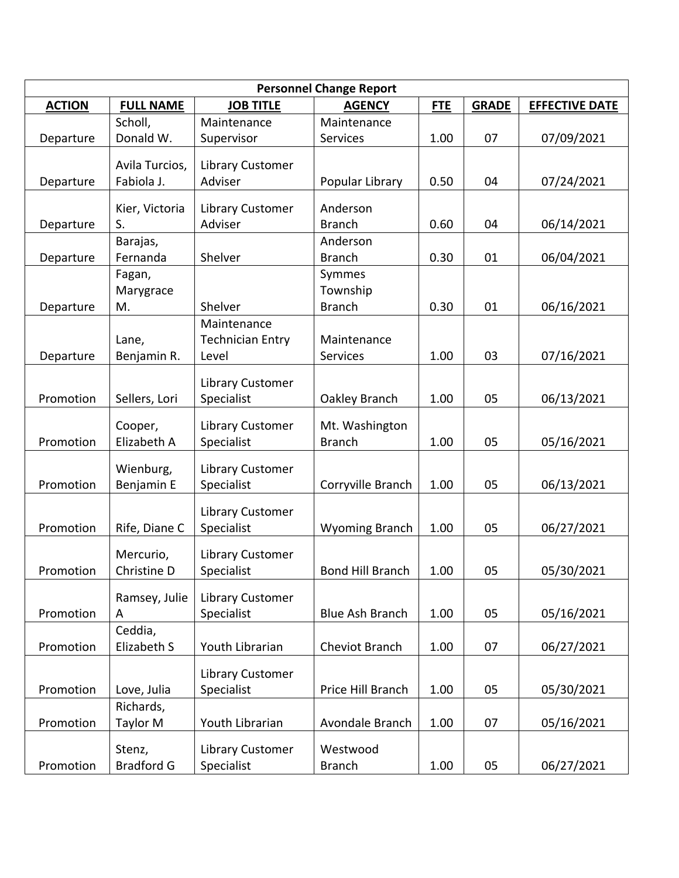| <b>Personnel Change Report</b> |                              |                             |                         |            |              |                       |
|--------------------------------|------------------------------|-----------------------------|-------------------------|------------|--------------|-----------------------|
| <b>ACTION</b>                  | <b>FULL NAME</b>             | <b>JOB TITLE</b>            | <b>AGENCY</b>           | <b>FTE</b> | <b>GRADE</b> | <b>EFFECTIVE DATE</b> |
|                                | Scholl,                      | Maintenance                 | Maintenance             |            |              |                       |
| Departure                      | Donald W.                    | Supervisor                  | Services                | 1.00       | 07           | 07/09/2021            |
|                                |                              |                             |                         |            |              |                       |
| Departure                      | Avila Turcios,<br>Fabiola J. | Library Customer<br>Adviser |                         | 0.50       | 04           | 07/24/2021            |
|                                |                              |                             | Popular Library         |            |              |                       |
|                                | Kier, Victoria               | Library Customer            | Anderson                |            |              |                       |
| Departure                      | S.                           | Adviser                     | <b>Branch</b>           | 0.60       | 04           | 06/14/2021            |
|                                | Barajas,                     |                             | Anderson                |            |              |                       |
| Departure                      | Fernanda                     | Shelver                     | <b>Branch</b>           | 0.30       | 01           | 06/04/2021            |
|                                | Fagan,                       |                             | Symmes                  |            |              |                       |
|                                | Marygrace                    |                             | Township                |            |              |                       |
| Departure                      | M.                           | Shelver                     | <b>Branch</b>           | 0.30       | 01           | 06/16/2021            |
|                                |                              | Maintenance                 |                         |            |              |                       |
|                                | Lane,                        | <b>Technician Entry</b>     | Maintenance             |            |              |                       |
| Departure                      | Benjamin R.                  | Level                       | Services                | 1.00       | 03           | 07/16/2021            |
|                                |                              |                             |                         |            |              |                       |
| Promotion                      |                              | <b>Library Customer</b>     |                         |            |              |                       |
|                                | Sellers, Lori                | Specialist                  | Oakley Branch           | 1.00       | 05           | 06/13/2021            |
|                                | Cooper,                      | <b>Library Customer</b>     | Mt. Washington          |            |              |                       |
| Promotion                      | Elizabeth A                  | Specialist                  | <b>Branch</b>           | 1.00       | 05           | 05/16/2021            |
|                                |                              |                             |                         |            |              |                       |
|                                | Wienburg,                    | Library Customer            |                         |            |              |                       |
| Promotion                      | Benjamin E                   | Specialist                  | Corryville Branch       | 1.00       | 05           | 06/13/2021            |
|                                |                              | <b>Library Customer</b>     |                         |            |              |                       |
| Promotion                      | Rife, Diane C                | Specialist                  | <b>Wyoming Branch</b>   | 1.00       | 05           | 06/27/2021            |
|                                |                              |                             |                         |            |              |                       |
|                                | Mercurio,                    | Library Customer            |                         |            |              |                       |
| Promotion                      | Christine D                  | Specialist                  | <b>Bond Hill Branch</b> | 1.00       | 05           | 05/30/2021            |
|                                | Ramsey, Julie                | <b>Library Customer</b>     |                         |            |              |                       |
| Promotion                      | A                            | Specialist                  | <b>Blue Ash Branch</b>  | 1.00       | 05           | 05/16/2021            |
|                                | Ceddia,                      |                             |                         |            |              |                       |
| Promotion                      | Elizabeth S                  | Youth Librarian             | Cheviot Branch          | 1.00       | 07           | 06/27/2021            |
|                                |                              |                             |                         |            |              |                       |
|                                |                              | <b>Library Customer</b>     |                         |            |              |                       |
| Promotion                      | Love, Julia                  | Specialist                  | Price Hill Branch       | 1.00       | 05           | 05/30/2021            |
|                                | Richards,                    |                             |                         |            |              |                       |
| Promotion                      | Taylor M                     | Youth Librarian             | Avondale Branch         | 1.00       | 07           | 05/16/2021            |
|                                | Stenz,                       | <b>Library Customer</b>     | Westwood                |            |              |                       |
|                                |                              |                             |                         |            |              |                       |
| Promotion                      | <b>Bradford G</b>            | Specialist                  | <b>Branch</b>           | 1.00       | 05           | 06/27/2021            |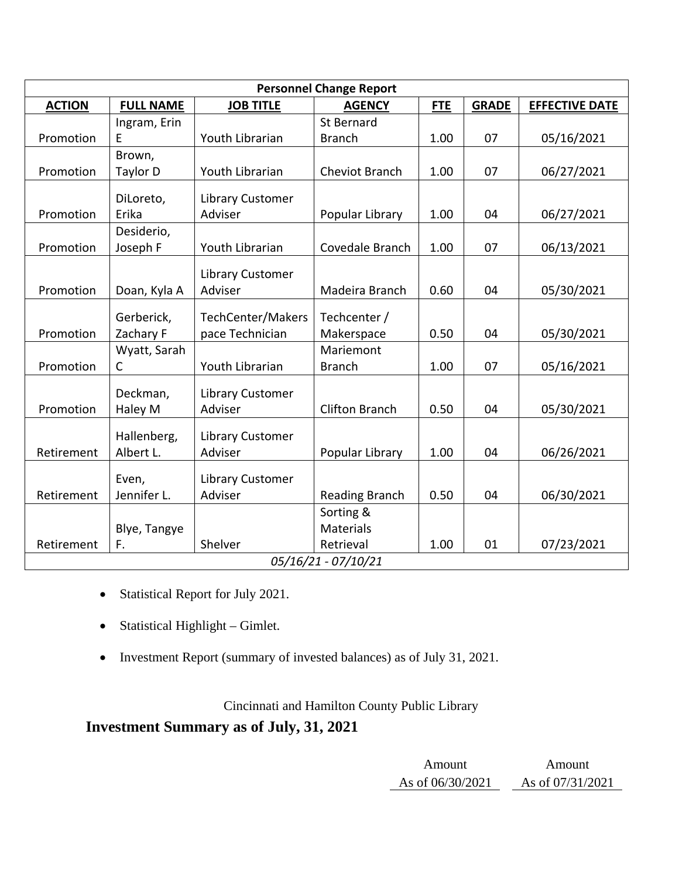| <b>Personnel Change Report</b> |                  |                             |                       |            |              |                       |
|--------------------------------|------------------|-----------------------------|-----------------------|------------|--------------|-----------------------|
| <b>ACTION</b>                  | <b>FULL NAME</b> | <b>JOB TITLE</b>            | <b>AGENCY</b>         | <b>FTE</b> | <b>GRADE</b> | <b>EFFECTIVE DATE</b> |
|                                | Ingram, Erin     |                             | <b>St Bernard</b>     |            |              |                       |
| Promotion                      | E                | Youth Librarian             | <b>Branch</b>         | 1.00       | 07           | 05/16/2021            |
|                                | Brown,           |                             |                       |            |              |                       |
| Promotion                      | Taylor D         | Youth Librarian             | Cheviot Branch        | 1.00       | 07           | 06/27/2021            |
|                                | DiLoreto,        | Library Customer            |                       |            |              |                       |
| Promotion                      | Erika            | Adviser                     | Popular Library       | 1.00       | 04           | 06/27/2021            |
|                                | Desiderio,       |                             |                       |            |              |                       |
| Promotion                      | Joseph F         | Youth Librarian             | Covedale Branch       | 1.00       | 07           | 06/13/2021            |
|                                |                  |                             |                       |            |              |                       |
| Promotion                      | Doan, Kyla A     | Library Customer<br>Adviser | Madeira Branch        | 0.60       | 04           | 05/30/2021            |
|                                |                  |                             |                       |            |              |                       |
|                                | Gerberick,       | TechCenter/Makers           | Techcenter /          |            |              |                       |
| Promotion                      | Zachary F        | pace Technician             | Makerspace            | 0.50       | 04           | 05/30/2021            |
|                                | Wyatt, Sarah     |                             | Mariemont             |            |              |                       |
| Promotion                      | C                | Youth Librarian             | <b>Branch</b>         | 1.00       | 07           | 05/16/2021            |
|                                | Deckman,         | Library Customer            |                       |            |              |                       |
| Promotion                      | Haley M          | Adviser                     | <b>Clifton Branch</b> | 0.50       | 04           | 05/30/2021            |
|                                |                  |                             |                       |            |              |                       |
|                                | Hallenberg,      | <b>Library Customer</b>     |                       |            |              |                       |
| Retirement                     | Albert L.        | Adviser                     | Popular Library       | 1.00       | 04           | 06/26/2021            |
|                                | Even,            | <b>Library Customer</b>     |                       |            |              |                       |
| Retirement                     | Jennifer L.      | Adviser                     | <b>Reading Branch</b> | 0.50       | 04           | 06/30/2021            |
|                                |                  |                             | Sorting &             |            |              |                       |
|                                | Blye, Tangye     |                             | Materials             |            |              |                       |
| Retirement                     | F.               | Shelver                     | Retrieval             | 1.00       | 01           | 07/23/2021            |
| 05/16/21 - 07/10/21            |                  |                             |                       |            |              |                       |

- Statistical Report for July 2021.
- Statistical Highlight Gimlet.
- Investment Report (summary of invested balances) as of July 31, 2021.

# Cincinnati and Hamilton County Public Library

# **Investment Summary as of July, 31, 2021**

| Amount           | Amount             |
|------------------|--------------------|
| As of 06/30/2021 | As of $07/31/2021$ |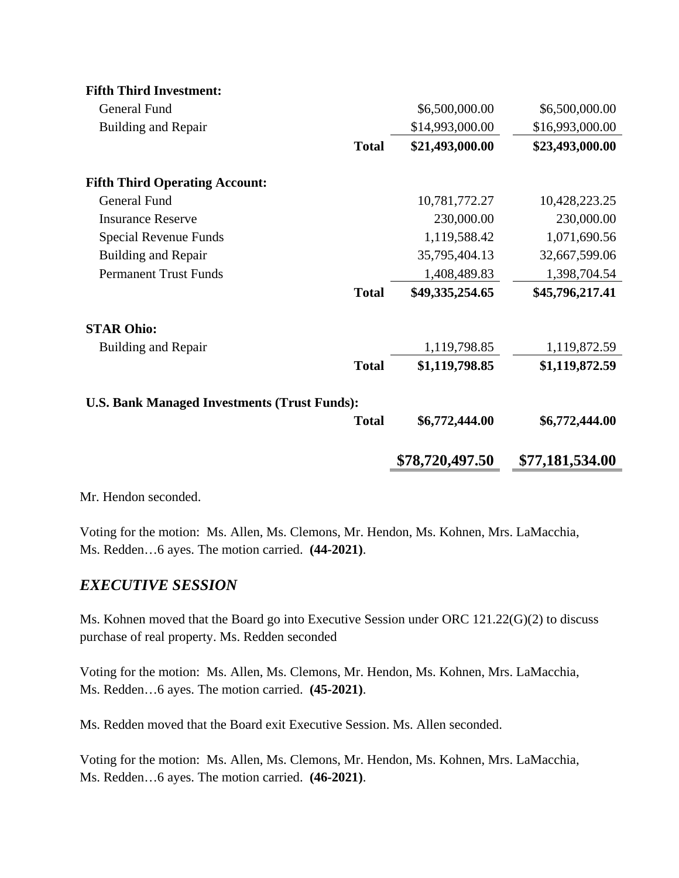| <b>Fifth Third Investment:</b>                      |                 |                 |  |  |  |
|-----------------------------------------------------|-----------------|-----------------|--|--|--|
| <b>General Fund</b>                                 | \$6,500,000.00  | \$6,500,000.00  |  |  |  |
| <b>Building and Repair</b>                          | \$14,993,000.00 | \$16,993,000.00 |  |  |  |
| <b>Total</b>                                        | \$21,493,000.00 | \$23,493,000.00 |  |  |  |
| <b>Fifth Third Operating Account:</b>               |                 |                 |  |  |  |
| <b>General Fund</b>                                 | 10,781,772.27   | 10,428,223.25   |  |  |  |
| <b>Insurance Reserve</b>                            | 230,000.00      | 230,000.00      |  |  |  |
| Special Revenue Funds                               | 1,119,588.42    | 1,071,690.56    |  |  |  |
| <b>Building and Repair</b>                          | 35,795,404.13   | 32,667,599.06   |  |  |  |
| <b>Permanent Trust Funds</b>                        | 1,408,489.83    | 1,398,704.54    |  |  |  |
| <b>Total</b>                                        | \$49,335,254.65 | \$45,796,217.41 |  |  |  |
| <b>STAR Ohio:</b>                                   |                 |                 |  |  |  |
| <b>Building and Repair</b>                          | 1,119,798.85    | 1,119,872.59    |  |  |  |
| <b>Total</b>                                        | \$1,119,798.85  | \$1,119,872.59  |  |  |  |
| <b>U.S. Bank Managed Investments (Trust Funds):</b> |                 |                 |  |  |  |
| <b>Total</b>                                        | \$6,772,444.00  | \$6,772,444.00  |  |  |  |
|                                                     | \$78,720,497.50 | \$77,181,534.00 |  |  |  |

Mr. Hendon seconded.

Voting for the motion: Ms. Allen, Ms. Clemons, Mr. Hendon, Ms. Kohnen, Mrs. LaMacchia, Ms. Redden…6 ayes. The motion carried. **(44-2021)**.

## *EXECUTIVE SESSION*

Ms. Kohnen moved that the Board go into Executive Session under ORC 121.22(G)(2) to discuss purchase of real property. Ms. Redden seconded

Voting for the motion: Ms. Allen, Ms. Clemons, Mr. Hendon, Ms. Kohnen, Mrs. LaMacchia, Ms. Redden…6 ayes. The motion carried. **(45-2021)**.

Ms. Redden moved that the Board exit Executive Session. Ms. Allen seconded.

Voting for the motion: Ms. Allen, Ms. Clemons, Mr. Hendon, Ms. Kohnen, Mrs. LaMacchia, Ms. Redden…6 ayes. The motion carried. **(46-2021)**.